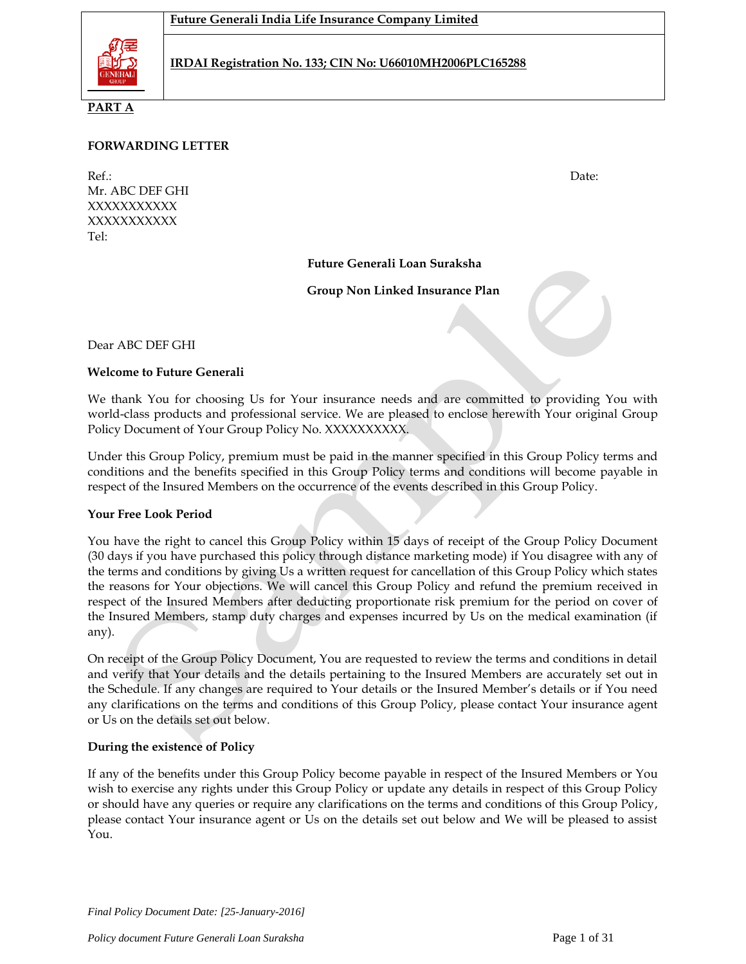

**PART A**

## **FORWARDING LETTER**

Ref.: Date: Mr. ABC DEF GHI XXXXXXXXXXX XXXXXXXXXXX Tel:

**Future Generali Loan Suraksha** 

**Group Non Linked Insurance Plan**

Dear ABC DEF GHI

## **Welcome to Future Generali**

We thank You for choosing Us for Your insurance needs and are committed to providing You with world-class products and professional service. We are pleased to enclose herewith Your original Group Policy Document of Your Group Policy No. XXXXXXXXXX.

Under this Group Policy, premium must be paid in the manner specified in this Group Policy terms and conditions and the benefits specified in this Group Policy terms and conditions will become payable in respect of the Insured Members on the occurrence of the events described in this Group Policy.

### **Your Free Look Period**

You have the right to cancel this Group Policy within 15 days of receipt of the Group Policy Document (30 days if you have purchased this policy through distance marketing mode) if You disagree with any of the terms and conditions by giving Us a written request for cancellation of this Group Policy which states the reasons for Your objections. We will cancel this Group Policy and refund the premium received in respect of the Insured Members after deducting proportionate risk premium for the period on cover of the Insured Members, stamp duty charges and expenses incurred by Us on the medical examination (if any).

On receipt of the Group Policy Document, You are requested to review the terms and conditions in detail and verify that Your details and the details pertaining to the Insured Members are accurately set out in the Schedule. If any changes are required to Your details or the Insured Member's details or if You need any clarifications on the terms and conditions of this Group Policy, please contact Your insurance agent or Us on the details set out below.

## **During the existence of Policy**

If any of the benefits under this Group Policy become payable in respect of the Insured Members or You wish to exercise any rights under this Group Policy or update any details in respect of this Group Policy or should have any queries or require any clarifications on the terms and conditions of this Group Policy, please contact Your insurance agent or Us on the details set out below and We will be pleased to assist You.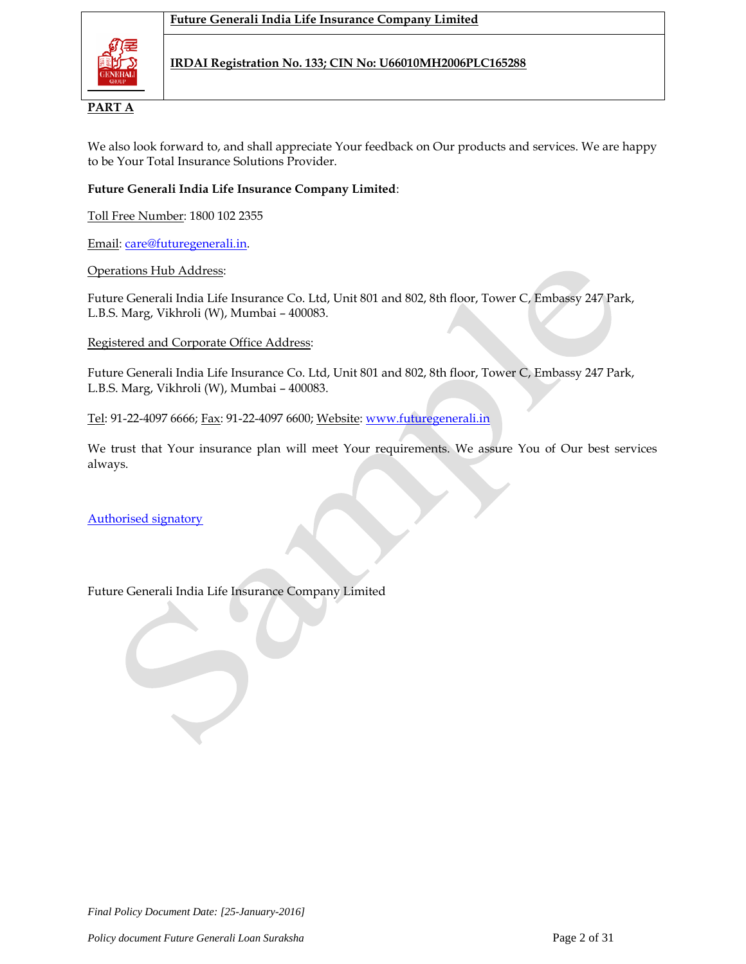

# **PART A**

We also look forward to, and shall appreciate Your feedback on Our products and services. We are happy to be Your Total Insurance Solutions Provider.

## **Future Generali India Life Insurance Company Limited**:

Toll Free Number: 1800 102 2355

Email: [care@futuregenerali.in.](mailto:care@futuregenerali.in)

## Operations Hub Address:

Future Generali India Life Insurance Co. Ltd, Unit 801 and 802, 8th floor, Tower C, Embassy 247 Park, L.B.S. Marg, Vikhroli (W), Mumbai – 400083.

## Registered and Corporate Office Address:

Future Generali India Life Insurance Co. Ltd, Unit 801 and 802, 8th floor, Tower C, Embassy 247 Park, L.B.S. Marg, Vikhroli (W), Mumbai – 400083.

Tel: 91-22-4097 6666; Fax: 91-22-4097 6600; Website: [www.futuregenerali.in](http://www.futuregenerali.in/)

We trust that Your insurance plan will meet Your requirements. We assure You of Our best services always.

Authorised signatory

## Future Generali India Life Insurance Company Limited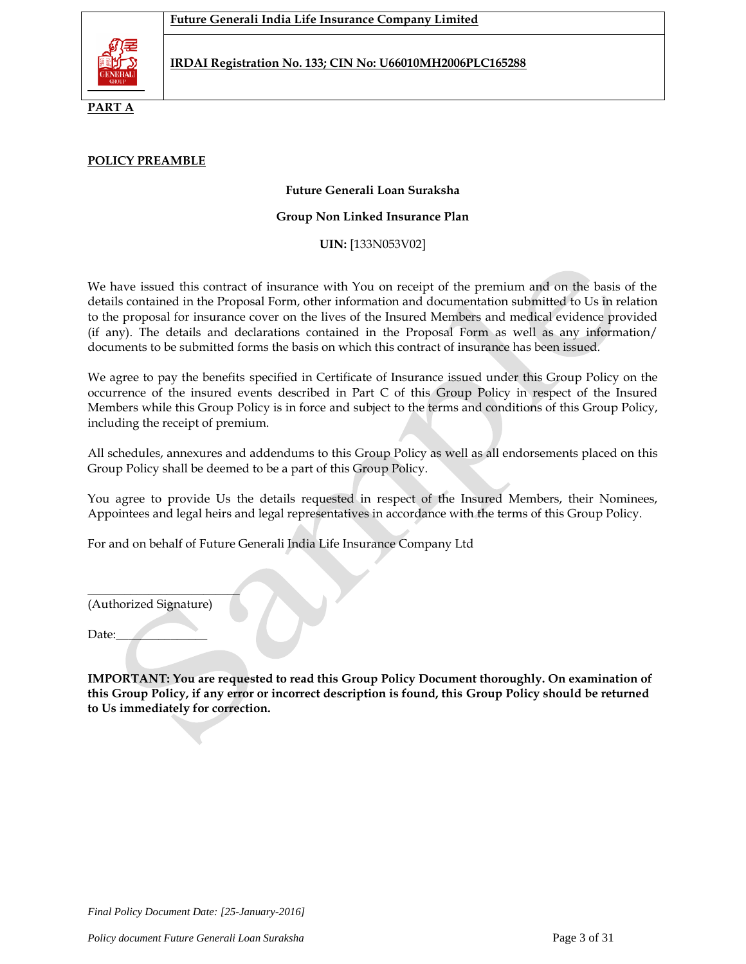

**PART A**

## **POLICY PREAMBLE**

### **Future Generali Loan Suraksha**

### **Group Non Linked Insurance Plan**

**UIN:** [133N053V02]

We have issued this contract of insurance with You on receipt of the premium and on the basis of the details contained in the Proposal Form, other information and documentation submitted to Us in relation to the proposal for insurance cover on the lives of the Insured Members and medical evidence provided (if any). The details and declarations contained in the Proposal Form as well as any information/ documents to be submitted forms the basis on which this contract of insurance has been issued.

We agree to pay the benefits specified in Certificate of Insurance issued under this Group Policy on the occurrence of the insured events described in Part C of this Group Policy in respect of the Insured Members while this Group Policy is in force and subject to the terms and conditions of this Group Policy, including the receipt of premium.

All schedules, annexures and addendums to this Group Policy as well as all endorsements placed on this Group Policy shall be deemed to be a part of this Group Policy.

You agree to provide Us the details requested in respect of the Insured Members, their Nominees, Appointees and legal heirs and legal representatives in accordance with the terms of this Group Policy.

For and on behalf of Future Generali India Life Insurance Company Ltd

(Authorized Signature)

 $\overline{\phantom{a}}$  , we can also the contract of  $\overline{\phantom{a}}$ 

Date:

**IMPORTANT: You are requested to read this Group Policy Document thoroughly. On examination of this Group Policy, if any error or incorrect description is found, this Group Policy should be returned to Us immediately for correction.**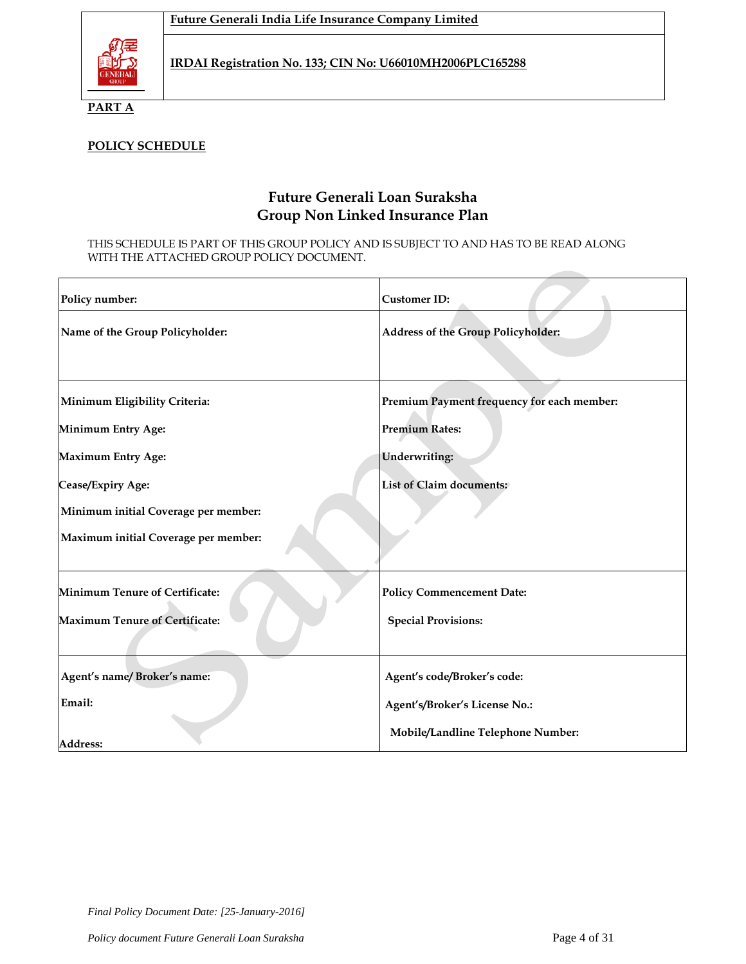

**PART A**

# **POLICY SCHEDULE**

# **Future Generali Loan Suraksha Group Non Linked Insurance Plan**

THIS SCHEDULE IS PART OF THIS GROUP POLICY AND IS SUBJECT TO AND HAS TO BE READ ALONG WITH THE ATTACHED GROUP POLICY DOCUMENT.

| Policy number:                        | <b>Customer ID:</b>                        |
|---------------------------------------|--------------------------------------------|
| Name of the Group Policyholder:       | <b>Address of the Group Policyholder:</b>  |
| Minimum Eligibility Criteria:         | Premium Payment frequency for each member: |
| <b>Minimum Entry Age:</b>             | <b>Premium Rates:</b>                      |
| <b>Maximum Entry Age:</b>             | <b>Underwriting:</b>                       |
| Cease/Expiry Age:                     | <b>List of Claim documents:</b>            |
| Minimum initial Coverage per member:  |                                            |
| Maximum initial Coverage per member:  |                                            |
| Minimum Tenure of Certificate:        | <b>Policy Commencement Date:</b>           |
| <b>Maximum Tenure of Certificate:</b> | <b>Special Provisions:</b>                 |
| Agent's name/Broker's name:           | Agent's code/Broker's code:                |
| Email:                                | Agent's/Broker's License No.:              |
| <b>Address:</b>                       | Mobile/Landline Telephone Number:          |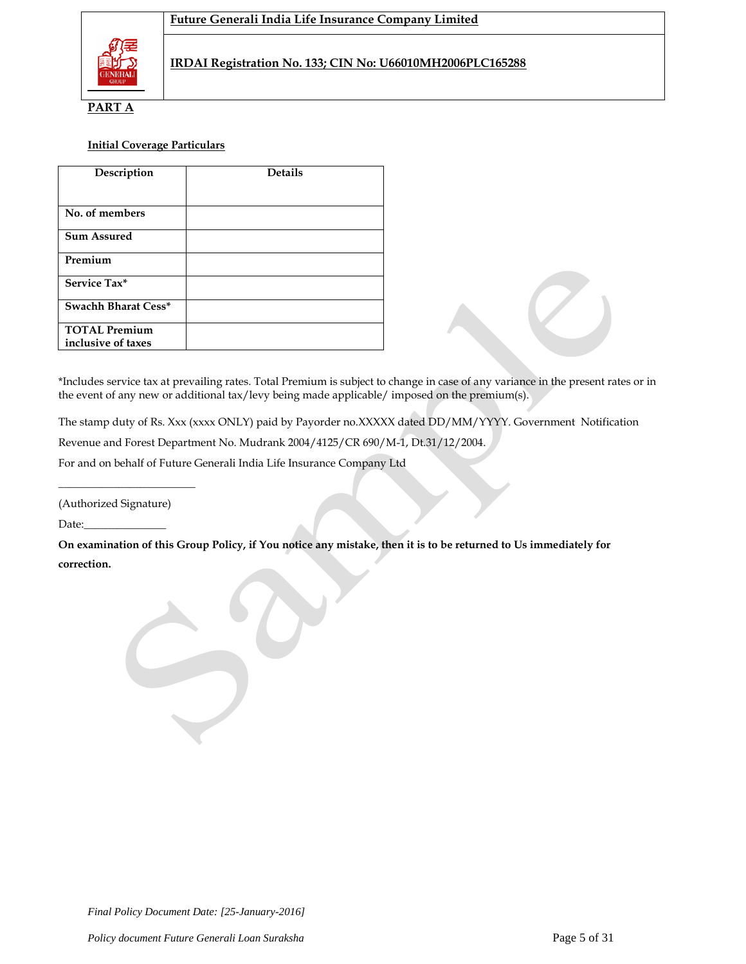

**PART A**

### **Initial Coverage Particulars**

| Description          | <b>Details</b> |
|----------------------|----------------|
|                      |                |
| No. of members       |                |
| <b>Sum Assured</b>   |                |
| Premium              |                |
| Service Tax*         |                |
| Swachh Bharat Cess*  |                |
| <b>TOTAL Premium</b> |                |
| inclusive of taxes   |                |

\*Includes service tax at prevailing rates. Total Premium is subject to change in case of any variance in the present rates or in the event of any new or additional tax/levy being made applicable/ imposed on the premium(s).

The stamp duty of Rs. Xxx (xxxx ONLY) paid by Payorder no.XXXXX dated DD/MM/YYYY. Government Notification

Revenue and Forest Department No. Mudrank 2004/4125/CR 690/M-1, Dt.31/12/2004.

For and on behalf of Future Generali India Life Insurance Company Ltd

(Authorized Signature)

\_\_\_\_\_\_\_\_\_\_\_\_\_\_\_\_\_\_\_\_\_\_\_\_\_

Date:

**On examination of this Group Policy, if You notice any mistake, then it is to be returned to Us immediately for correction.**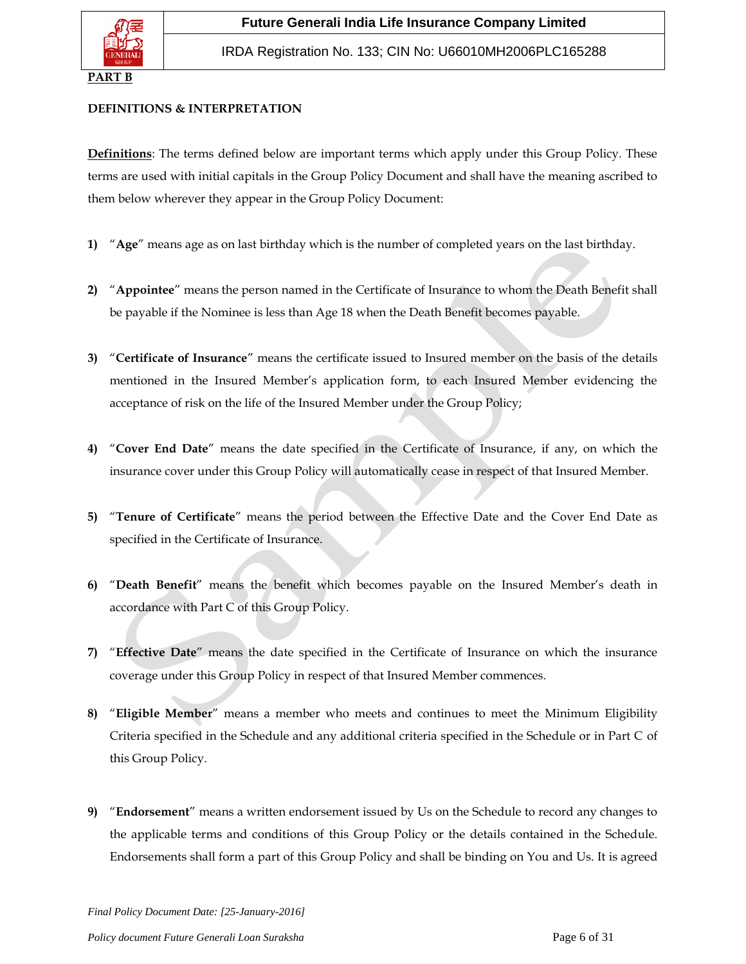

## **PART B**

### **DEFINITIONS & INTERPRETATION**

**Definitions**: The terms defined below are important terms which apply under this Group Policy. These terms are used with initial capitals in the Group Policy Document and shall have the meaning ascribed to them below wherever they appear in the Group Policy Document:

- **1)** "**Age**" means age as on last birthday which is the number of completed years on the last birthday.
- **2)** "**Appointee**" means the person named in the Certificate of Insurance to whom the Death Benefit shall be payable if the Nominee is less than Age 18 when the Death Benefit becomes payable.
- **3)** "**Certificate of Insurance**" means the certificate issued to Insured member on the basis of the details mentioned in the Insured Member's application form, to each Insured Member evidencing the acceptance of risk on the life of the Insured Member under the Group Policy;
- **4)** "**Cover End Date**" means the date specified in the Certificate of Insurance, if any, on which the insurance cover under this Group Policy will automatically cease in respect of that Insured Member.
- **5)** "**Tenure of Certificate**" means the period between the Effective Date and the Cover End Date as specified in the Certificate of Insurance.
- **6)** "**Death Benefit**" means the benefit which becomes payable on the Insured Member's death in accordance with Part C of this Group Policy.
- **7)** "**Effective Date**" means the date specified in the Certificate of Insurance on which the insurance coverage under this Group Policy in respect of that Insured Member commences.
- **8)** "**Eligible Member**" means a member who meets and continues to meet the Minimum Eligibility Criteria specified in the Schedule and any additional criteria specified in the Schedule or in Part C of this Group Policy.
- **9)** "**Endorsement**" means a written endorsement issued by Us on the Schedule to record any changes to the applicable terms and conditions of this Group Policy or the details contained in the Schedule. Endorsements shall form a part of this Group Policy and shall be binding on You and Us. It is agreed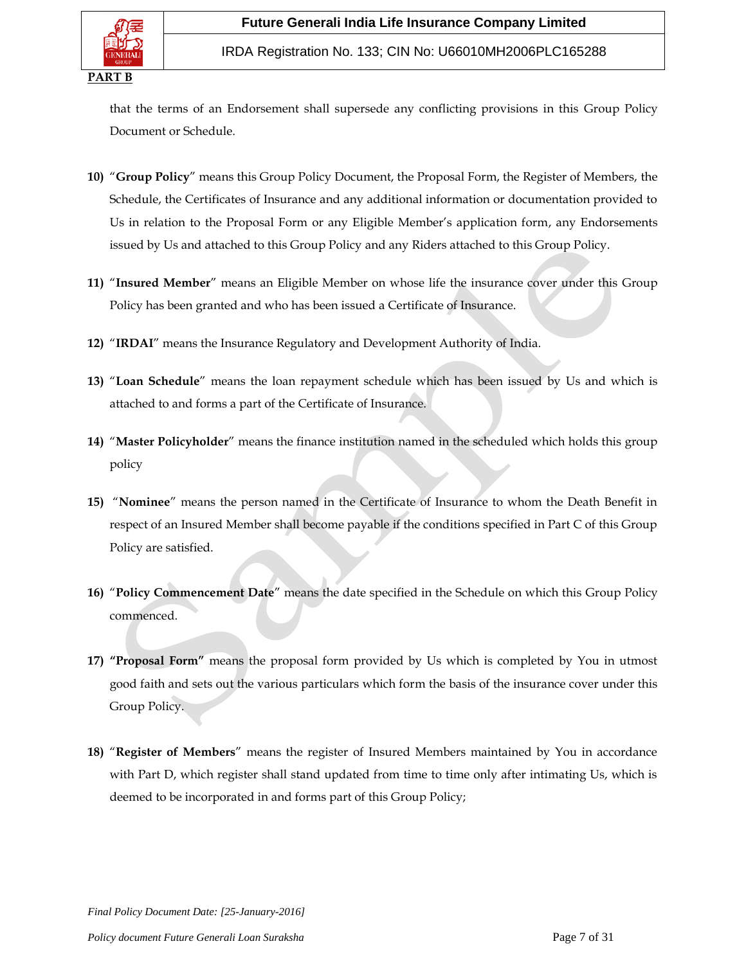

that the terms of an Endorsement shall supersede any conflicting provisions in this Group Policy Document or Schedule.

- **10)** "**Group Policy**" means this Group Policy Document, the Proposal Form, the Register of Members, the Schedule, the Certificates of Insurance and any additional information or documentation provided to Us in relation to the Proposal Form or any Eligible Member's application form, any Endorsements issued by Us and attached to this Group Policy and any Riders attached to this Group Policy.
- **11)** "**Insured Member**" means an Eligible Member on whose life the insurance cover under this Group Policy has been granted and who has been issued a Certificate of Insurance.
- **12)** "**IRDAI**" means the Insurance Regulatory and Development Authority of India.
- **13)** "**Loan Schedule**" means the loan repayment schedule which has been issued by Us and which is attached to and forms a part of the Certificate of Insurance.
- **14)** "**Master Policyholder**" means the finance institution named in the scheduled which holds this group policy
- **15)** "**Nominee**" means the person named in the Certificate of Insurance to whom the Death Benefit in respect of an Insured Member shall become payable if the conditions specified in Part C of this Group Policy are satisfied.
- **16)** "**Policy Commencement Date**" means the date specified in the Schedule on which this Group Policy commenced.
- **17) "Proposal Form"** means the proposal form provided by Us which is completed by You in utmost good faith and sets out the various particulars which form the basis of the insurance cover under this Group Policy.
- **18)** "**Register of Members**" means the register of Insured Members maintained by You in accordance with Part D, which register shall stand updated from time to time only after intimating Us, which is deemed to be incorporated in and forms part of this Group Policy;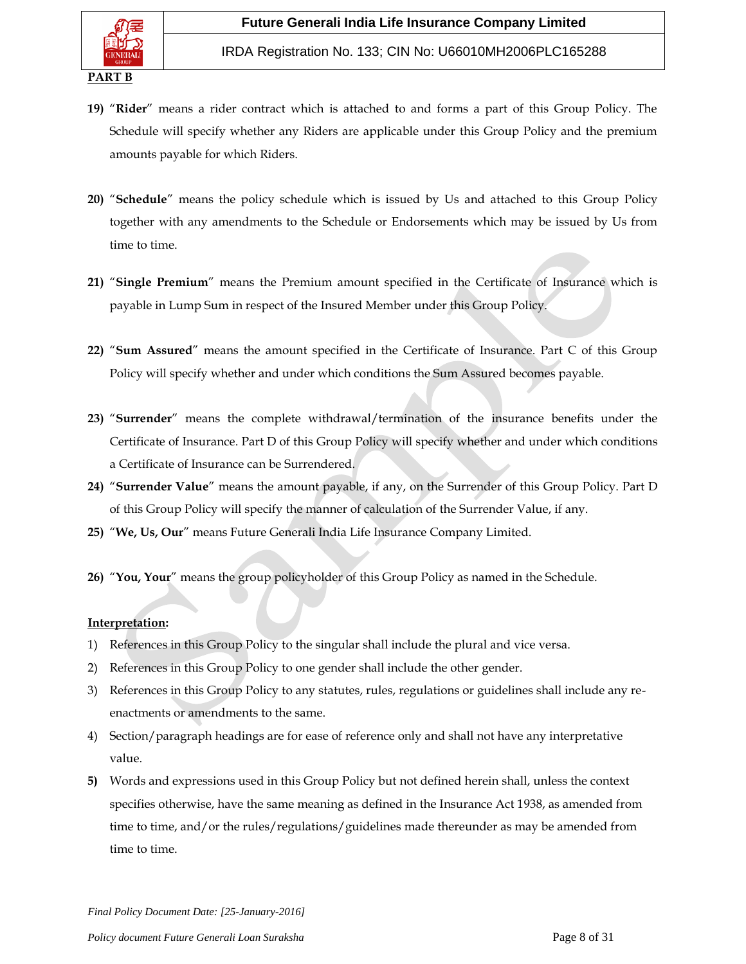- **19)** "**Rider**" means a rider contract which is attached to and forms a part of this Group Policy. The Schedule will specify whether any Riders are applicable under this Group Policy and the premium amounts payable for which Riders.
- **20)** "**Schedule**" means the policy schedule which is issued by Us and attached to this Group Policy together with any amendments to the Schedule or Endorsements which may be issued by Us from time to time.
- **21)** "**Single Premium**" means the Premium amount specified in the Certificate of Insurance which is payable in Lump Sum in respect of the Insured Member under this Group Policy.
- **22)** "**Sum Assured**" means the amount specified in the Certificate of Insurance. Part C of this Group Policy will specify whether and under which conditions the Sum Assured becomes payable.
- **23)** "**Surrender**" means the complete withdrawal/termination of the insurance benefits under the Certificate of Insurance. Part D of this Group Policy will specify whether and under which conditions a Certificate of Insurance can be Surrendered.
- **24)** "**Surrender Value**" means the amount payable, if any, on the Surrender of this Group Policy. Part D of this Group Policy will specify the manner of calculation of the Surrender Value, if any.
- **25)** "**We, Us, Our**" means Future Generali India Life Insurance Company Limited.
- **26)** "**You, Your**" means the group policyholder of this Group Policy as named in the Schedule.

### **Interpretation:**

- 1) References in this Group Policy to the singular shall include the plural and vice versa.
- 2) References in this Group Policy to one gender shall include the other gender.
- 3) References in this Group Policy to any statutes, rules, regulations or guidelines shall include any reenactments or amendments to the same.
- 4) Section/paragraph headings are for ease of reference only and shall not have any interpretative value.
- **5)** Words and expressions used in this Group Policy but not defined herein shall, unless the context specifies otherwise, have the same meaning as defined in the Insurance Act 1938, as amended from time to time, and/or the rules/regulations/guidelines made thereunder as may be amended from time to time.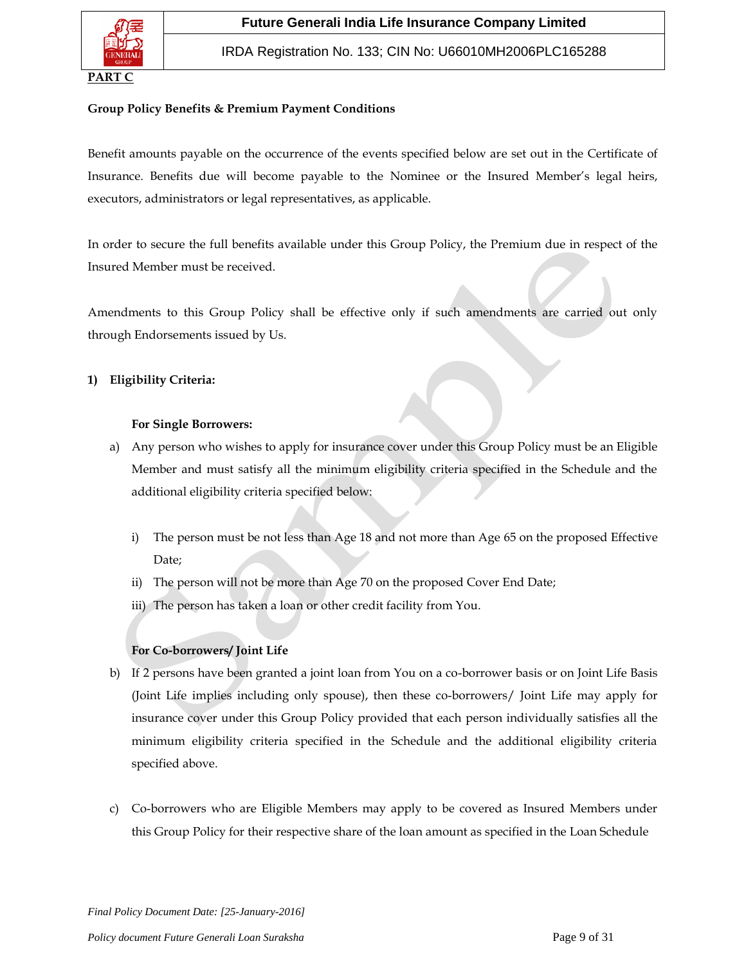

### **Group Policy Benefits & Premium Payment Conditions**

Benefit amounts payable on the occurrence of the events specified below are set out in the Certificate of Insurance. Benefits due will become payable to the Nominee or the Insured Member's legal heirs, executors, administrators or legal representatives, as applicable.

In order to secure the full benefits available under this Group Policy, the Premium due in respect of the Insured Member must be received.

Amendments to this Group Policy shall be effective only if such amendments are carried out only through Endorsements issued by Us.

## **1) Eligibility Criteria:**

### **For Single Borrowers:**

- a) Any person who wishes to apply for insurance cover under this Group Policy must be an Eligible Member and must satisfy all the minimum eligibility criteria specified in the Schedule and the additional eligibility criteria specified below:
	- i) The person must be not less than Age 18 and not more than Age 65 on the proposed Effective Date;
	- ii) The person will not be more than Age 70 on the proposed Cover End Date;
	- iii) The person has taken a loan or other credit facility from You.

## **For Co-borrowers/ Joint Life**

- b) If 2 persons have been granted a joint loan from You on a co-borrower basis or on Joint Life Basis (Joint Life implies including only spouse), then these co-borrowers/ Joint Life may apply for insurance cover under this Group Policy provided that each person individually satisfies all the minimum eligibility criteria specified in the Schedule and the additional eligibility criteria specified above.
- c) Co-borrowers who are Eligible Members may apply to be covered as Insured Members under this Group Policy for their respective share of the loan amount as specified in the Loan Schedule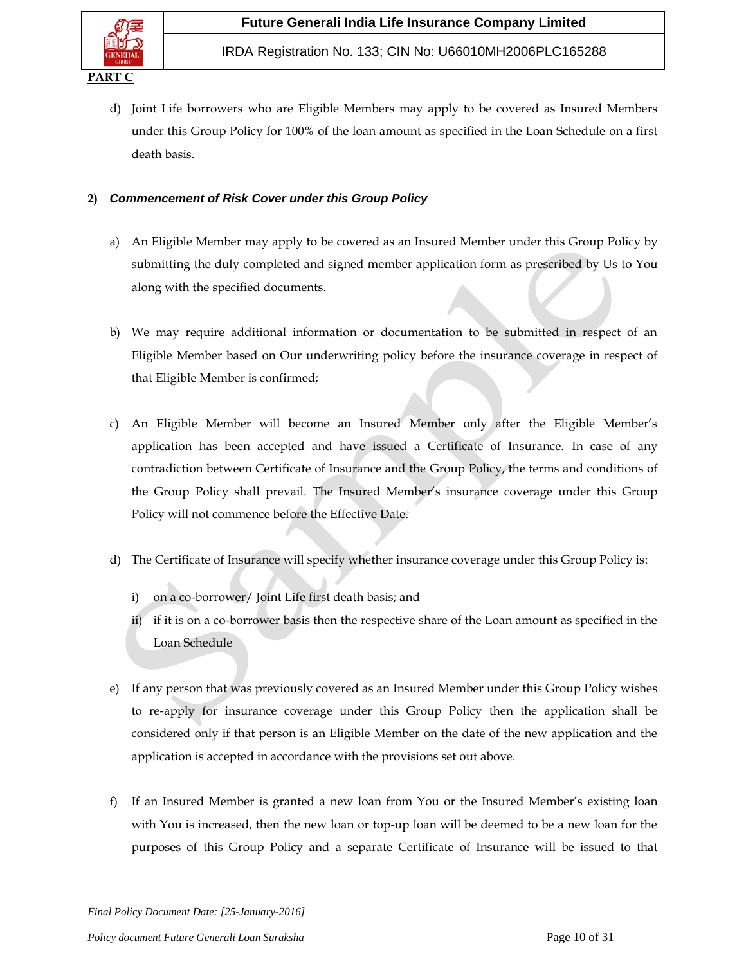

d) Joint Life borrowers who are Eligible Members may apply to be covered as Insured Members under this Group Policy for 100% of the loan amount as specified in the Loan Schedule on a first death basis.

## **2)** *Commencement of Risk Cover under this Group Policy*

- a) An Eligible Member may apply to be covered as an Insured Member under this Group Policy by submitting the duly completed and signed member application form as prescribed by Us to You along with the specified documents.
- b) We may require additional information or documentation to be submitted in respect of an Eligible Member based on Our underwriting policy before the insurance coverage in respect of that Eligible Member is confirmed;
- c) An Eligible Member will become an Insured Member only after the Eligible Member's application has been accepted and have issued a Certificate of Insurance. In case of any contradiction between Certificate of Insurance and the Group Policy, the terms and conditions of the Group Policy shall prevail. The Insured Member's insurance coverage under this Group Policy will not commence before the Effective Date.
- d) The Certificate of Insurance will specify whether insurance coverage under this Group Policy is:
	- i) on a co-borrower/ Joint Life first death basis; and
	- ii) if it is on a co-borrower basis then the respective share of the Loan amount as specified in the Loan Schedule
- e) If any person that was previously covered as an Insured Member under this Group Policy wishes to re-apply for insurance coverage under this Group Policy then the application shall be considered only if that person is an Eligible Member on the date of the new application and the application is accepted in accordance with the provisions set out above.
- f) If an Insured Member is granted a new loan from You or the Insured Member's existing loan with You is increased, then the new loan or top-up loan will be deemed to be a new loan for the purposes of this Group Policy and a separate Certificate of Insurance will be issued to that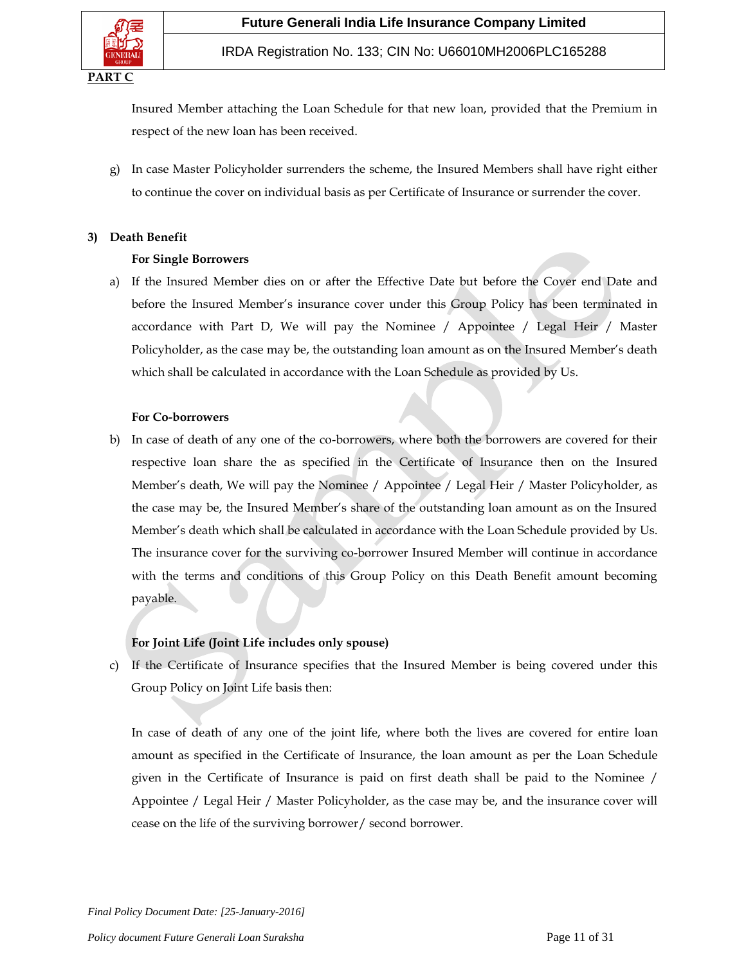

Insured Member attaching the Loan Schedule for that new loan, provided that the Premium in respect of the new loan has been received.

g) In case Master Policyholder surrenders the scheme, the Insured Members shall have right either to continue the cover on individual basis as per Certificate of Insurance or surrender the cover.

## **3) Death Benefit**

### **For Single Borrowers**

a) If the Insured Member dies on or after the Effective Date but before the Cover end Date and before the Insured Member's insurance cover under this Group Policy has been terminated in accordance with Part D, We will pay the Nominee / Appointee / Legal Heir / Master Policyholder, as the case may be, the outstanding loan amount as on the Insured Member's death which shall be calculated in accordance with the Loan Schedule as provided by Us.

### **For Co-borrowers**

b) In case of death of any one of the co-borrowers, where both the borrowers are covered for their respective loan share the as specified in the Certificate of Insurance then on the Insured Member's death, We will pay the Nominee / Appointee / Legal Heir / Master Policyholder, as the case may be, the Insured Member's share of the outstanding loan amount as on the Insured Member's death which shall be calculated in accordance with the Loan Schedule provided by Us. The insurance cover for the surviving co-borrower Insured Member will continue in accordance with the terms and conditions of this Group Policy on this Death Benefit amount becoming payable.

## **For Joint Life (Joint Life includes only spouse)**

c) If the Certificate of Insurance specifies that the Insured Member is being covered under this Group Policy on Joint Life basis then:

In case of death of any one of the joint life, where both the lives are covered for entire loan amount as specified in the Certificate of Insurance, the loan amount as per the Loan Schedule given in the Certificate of Insurance is paid on first death shall be paid to the Nominee / Appointee / Legal Heir / Master Policyholder, as the case may be, and the insurance cover will cease on the life of the surviving borrower/ second borrower.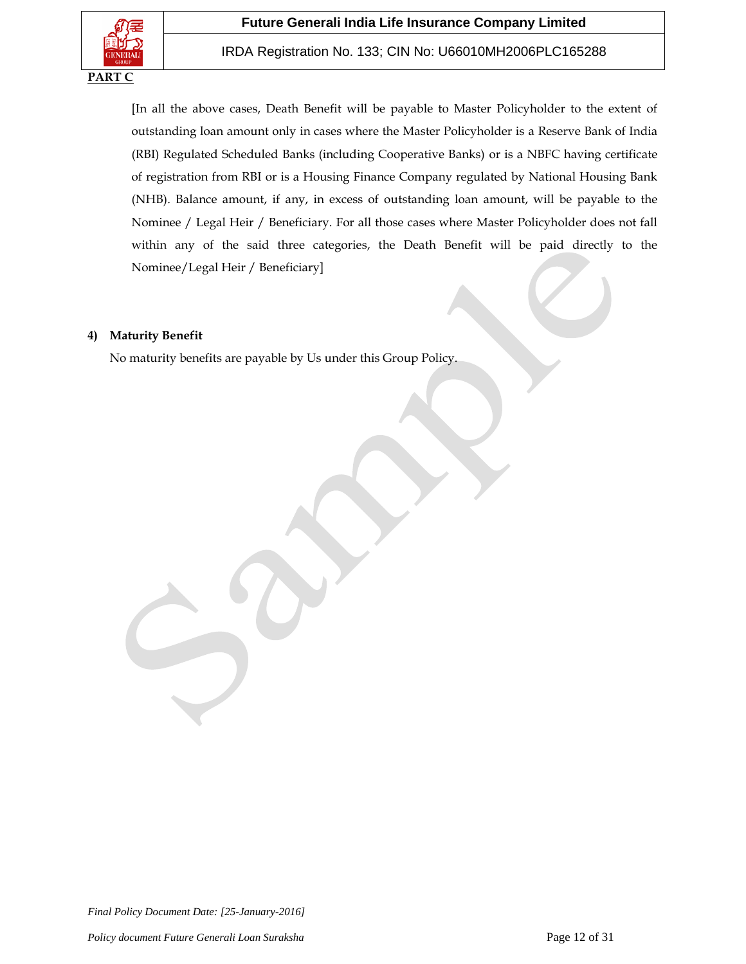## IRDA Registration No. 133; CIN No: U66010MH2006PLC165288

[In all the above cases, Death Benefit will be payable to Master Policyholder to the extent of outstanding loan amount only in cases where the Master Policyholder is a Reserve Bank of India (RBI) Regulated Scheduled Banks (including Cooperative Banks) or is a NBFC having certificate of registration from RBI or is a Housing Finance Company regulated by National Housing Bank (NHB). Balance amount, if any, in excess of outstanding loan amount, will be payable to the Nominee / Legal Heir / Beneficiary. For all those cases where Master Policyholder does not fall within any of the said three categories, the Death Benefit will be paid directly to the Nominee/Legal Heir / Beneficiary]

## **4) Maturity Benefit**

No maturity benefits are payable by Us under this Group Policy.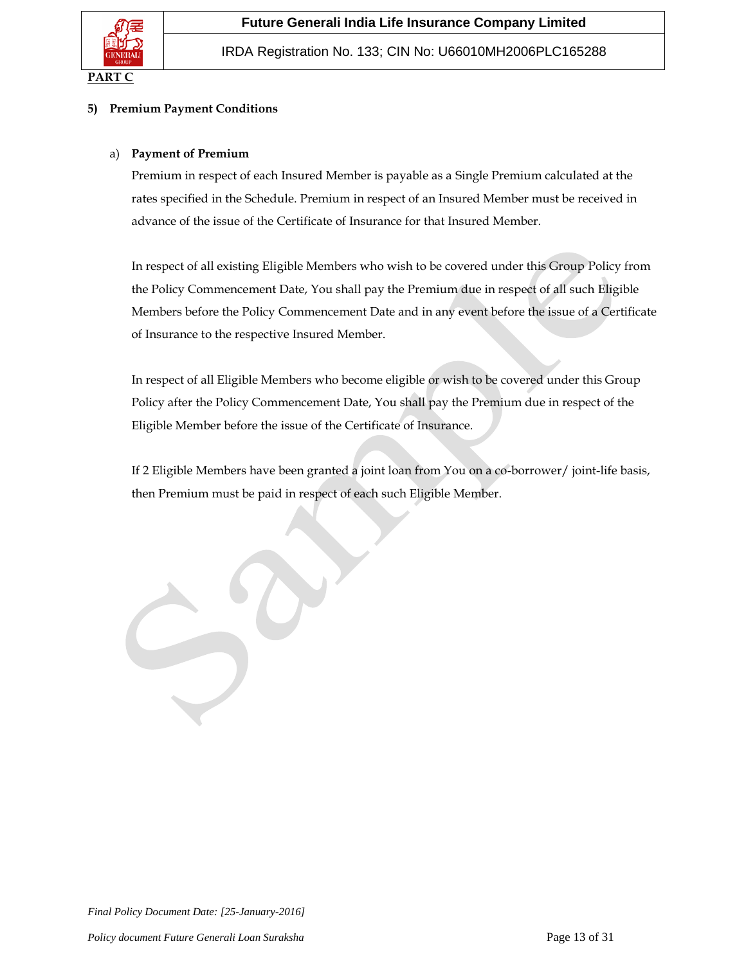

## **5) Premium Payment Conditions**

## a) **Payment of Premium**

Premium in respect of each Insured Member is payable as a Single Premium calculated at the rates specified in the Schedule. Premium in respect of an Insured Member must be received in advance of the issue of the Certificate of Insurance for that Insured Member.

In respect of all existing Eligible Members who wish to be covered under this Group Policy from the Policy Commencement Date, You shall pay the Premium due in respect of all such Eligible Members before the Policy Commencement Date and in any event before the issue of a Certificate of Insurance to the respective Insured Member.

In respect of all Eligible Members who become eligible or wish to be covered under this Group Policy after the Policy Commencement Date, You shall pay the Premium due in respect of the Eligible Member before the issue of the Certificate of Insurance.

If 2 Eligible Members have been granted a joint loan from You on a co-borrower/ joint-life basis, then Premium must be paid in respect of each such Eligible Member.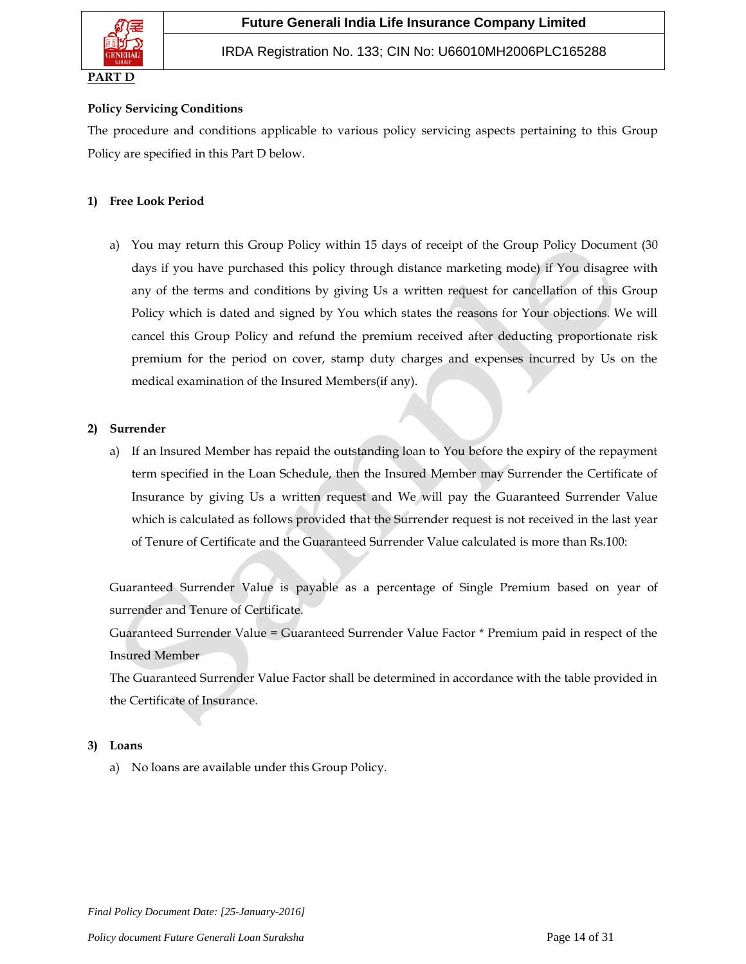

## **Policy Servicing Conditions**

The procedure and conditions applicable to various policy servicing aspects pertaining to this Group Policy are specified in this Part D below.

## **1) Free Look Period**

a) You may return this Group Policy within 15 days of receipt of the Group Policy Document (30 days if you have purchased this policy through distance marketing mode) if You disagree with any of the terms and conditions by giving Us a written request for cancellation of this Group Policy which is dated and signed by You which states the reasons for Your objections. We will cancel this Group Policy and refund the premium received after deducting proportionate risk premium for the period on cover, stamp duty charges and expenses incurred by Us on the medical examination of the Insured Members(if any).

### **2) Surrender**

a) If an Insured Member has repaid the outstanding loan to You before the expiry of the repayment term specified in the Loan Schedule, then the Insured Member may Surrender the Certificate of Insurance by giving Us a written request and We will pay the Guaranteed Surrender Value which is calculated as follows provided that the Surrender request is not received in the last year of Tenure of Certificate and the Guaranteed Surrender Value calculated is more than Rs.100:

Guaranteed Surrender Value is payable as a percentage of Single Premium based on year of surrender and Tenure of Certificate.

Guaranteed Surrender Value = Guaranteed Surrender Value Factor \* Premium paid in respect of the Insured Member

The Guaranteed Surrender Value Factor shall be determined in accordance with the table provided in the Certificate of Insurance.

### **3) Loans**

a) No loans are available under this Group Policy.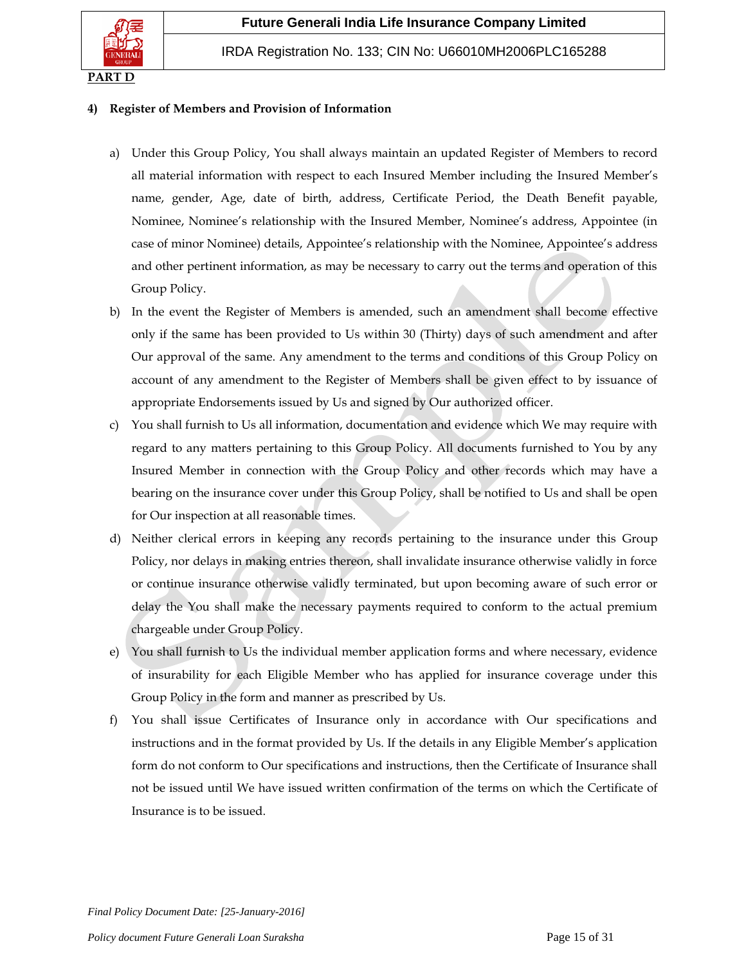

### **4) Register of Members and Provision of Information**

- a) Under this Group Policy, You shall always maintain an updated Register of Members to record all material information with respect to each Insured Member including the Insured Member's name, gender, Age, date of birth, address, Certificate Period, the Death Benefit payable, Nominee, Nominee's relationship with the Insured Member, Nominee's address, Appointee (in case of minor Nominee) details, Appointee's relationship with the Nominee, Appointee's address and other pertinent information, as may be necessary to carry out the terms and operation of this Group Policy.
- b) In the event the Register of Members is amended, such an amendment shall become effective only if the same has been provided to Us within 30 (Thirty) days of such amendment and after Our approval of the same. Any amendment to the terms and conditions of this Group Policy on account of any amendment to the Register of Members shall be given effect to by issuance of appropriate Endorsements issued by Us and signed by Our authorized officer.
- c) You shall furnish to Us all information, documentation and evidence which We may require with regard to any matters pertaining to this Group Policy. All documents furnished to You by any Insured Member in connection with the Group Policy and other records which may have a bearing on the insurance cover under this Group Policy, shall be notified to Us and shall be open for Our inspection at all reasonable times.
- d) Neither clerical errors in keeping any records pertaining to the insurance under this Group Policy, nor delays in making entries thereon, shall invalidate insurance otherwise validly in force or continue insurance otherwise validly terminated, but upon becoming aware of such error or delay the You shall make the necessary payments required to conform to the actual premium chargeable under Group Policy.
- e) You shall furnish to Us the individual member application forms and where necessary, evidence of insurability for each Eligible Member who has applied for insurance coverage under this Group Policy in the form and manner as prescribed by Us.
- f) You shall issue Certificates of Insurance only in accordance with Our specifications and instructions and in the format provided by Us. If the details in any Eligible Member's application form do not conform to Our specifications and instructions, then the Certificate of Insurance shall not be issued until We have issued written confirmation of the terms on which the Certificate of Insurance is to be issued.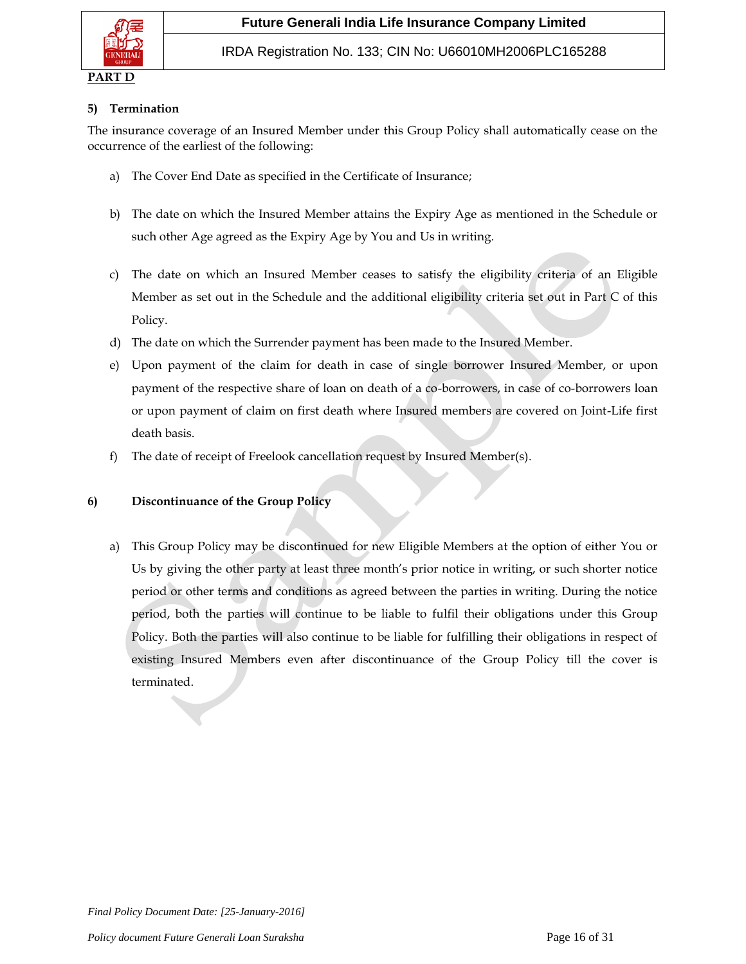

#### **PART D**

### **5) Termination**

The insurance coverage of an Insured Member under this Group Policy shall automatically cease on the occurrence of the earliest of the following:

- a) The Cover End Date as specified in the Certificate of Insurance;
- b) The date on which the Insured Member attains the Expiry Age as mentioned in the Schedule or such other Age agreed as the Expiry Age by You and Us in writing.
- c) The date on which an Insured Member ceases to satisfy the eligibility criteria of an Eligible Member as set out in the Schedule and the additional eligibility criteria set out in Part C of this Policy.
- d) The date on which the Surrender payment has been made to the Insured Member.
- e) Upon payment of the claim for death in case of single borrower Insured Member, or upon payment of the respective share of loan on death of a co-borrowers, in case of co-borrowers loan or upon payment of claim on first death where Insured members are covered on Joint-Life first death basis.
- f) The date of receipt of Freelook cancellation request by Insured Member(s).

### **6) Discontinuance of the Group Policy**

a) This Group Policy may be discontinued for new Eligible Members at the option of either You or Us by giving the other party at least three month's prior notice in writing, or such shorter notice period or other terms and conditions as agreed between the parties in writing. During the notice period, both the parties will continue to be liable to fulfil their obligations under this Group Policy. Both the parties will also continue to be liable for fulfilling their obligations in respect of existing Insured Members even after discontinuance of the Group Policy till the cover is terminated.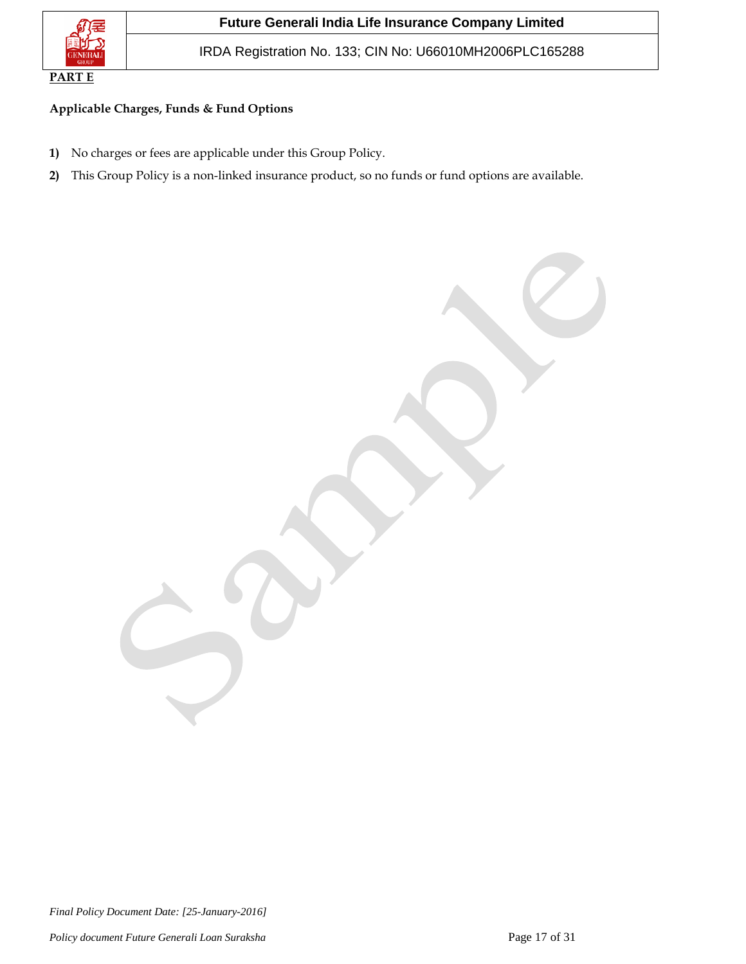

IRDA Registration No. 133; CIN No: U66010MH2006PLC165288

## **Applicable Charges, Funds & Fund Options**

- **1)** No charges or fees are applicable under this Group Policy.
- **2)** This Group Policy is a non-linked insurance product, so no funds or fund options are available.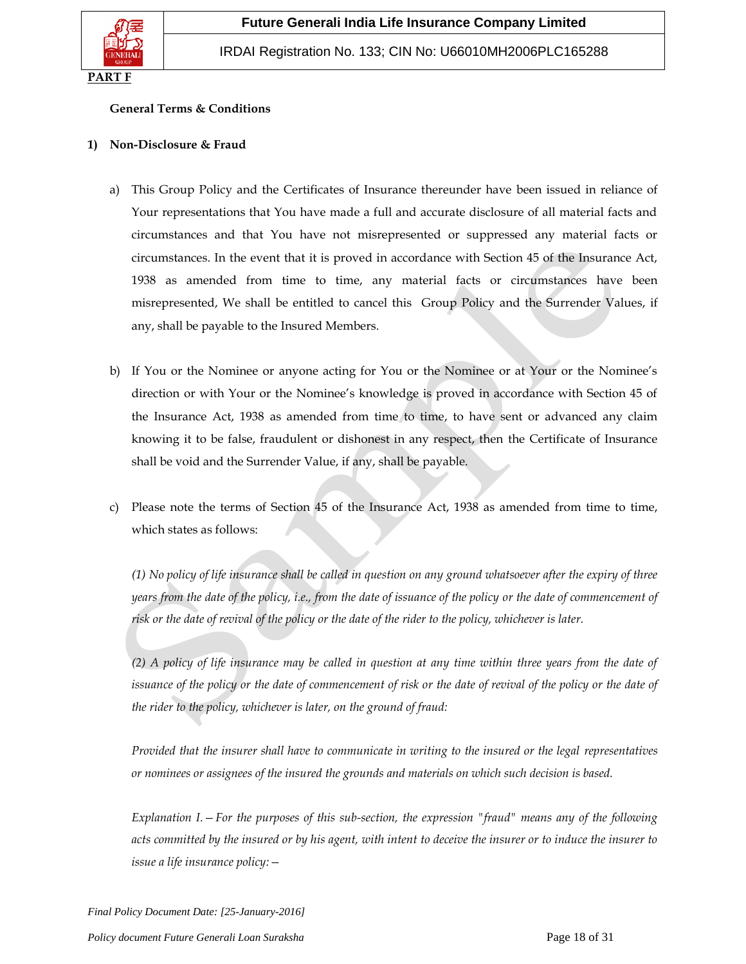

### **General Terms & Conditions**

#### **1) Non-Disclosure & Fraud**

- a) This Group Policy and the Certificates of Insurance thereunder have been issued in reliance of Your representations that You have made a full and accurate disclosure of all material facts and circumstances and that You have not misrepresented or suppressed any material facts or circumstances. In the event that it is proved in accordance with Section 45 of the Insurance Act, 1938 as amended from time to time, any material facts or circumstances have been misrepresented, We shall be entitled to cancel this Group Policy and the Surrender Values, if any, shall be payable to the Insured Members.
- b) If You or the Nominee or anyone acting for You or the Nominee or at Your or the Nominee's direction or with Your or the Nominee's knowledge is proved in accordance with Section 45 of the Insurance Act, 1938 as amended from time to time, to have sent or advanced any claim knowing it to be false, fraudulent or dishonest in any respect, then the Certificate of Insurance shall be void and the Surrender Value, if any, shall be payable.
- c) Please note the terms of Section 45 of the Insurance Act, 1938 as amended from time to time, which states as follows:

*(1) No policy of life insurance shall be called in question on any ground whatsoever after the expiry of three years from the date of the policy, i.e., from the date of issuance of the policy or the date of commencement of risk or the date of revival of the policy or the date of the rider to the policy, whichever is later.*

*(2) A policy of life insurance may be called in question at any time within three years from the date of issuance of the policy or the date of commencement of risk or the date of revival of the policy or the date of the rider to the policy, whichever is later, on the ground of fraud:*

*Provided that the insurer shall have to communicate in writing to the insured or the legal representatives or nominees or assignees of the insured the grounds and materials on which such decision is based.*

*Explanation I.—For the purposes of this sub-section, the expression "fraud" means any of the following acts committed by the insured or by his agent, with intent to deceive the insurer or to induce the insurer to issue a life insurance policy:—*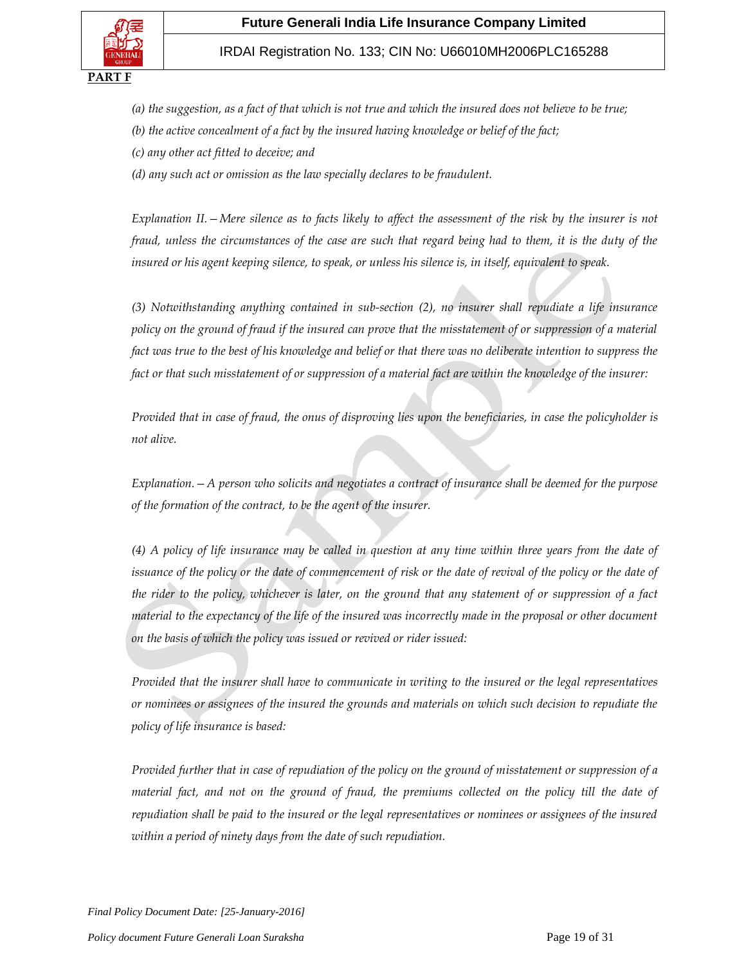

## IRDAI Registration No. 133; CIN No: U66010MH2006PLC165288

- *(a) the suggestion, as a fact of that which is not true and which the insured does not believe to be true;*
- *(b) the active concealment of a fact by the insured having knowledge or belief of the fact;*
- *(c) any other act fitted to deceive; and*

*(d) any such act or omission as the law specially declares to be fraudulent.*

*Explanation II.* – *Mere silence as to facts likely to affect the assessment of the risk by the insurer is not fraud, unless the circumstances of the case are such that regard being had to them, it is the duty of the insured or his agent keeping silence, to speak, or unless his silence is, in itself, equivalent to speak.*

*(3) Notwithstanding anything contained in sub-section (2), no insurer shall repudiate a life insurance policy on the ground of fraud if the insured can prove that the misstatement of or suppression of a material fact was true to the best of his knowledge and belief or that there was no deliberate intention to suppress the fact or that such misstatement of or suppression of a material fact are within the knowledge of the insurer:*

*Provided that in case of fraud, the onus of disproving lies upon the beneficiaries, in case the policyholder is not alive.*

*Explanation.—A person who solicits and negotiates a contract of insurance shall be deemed for the purpose of the formation of the contract, to be the agent of the insurer.*

*(4) A policy of life insurance may be called in question at any time within three years from the date of issuance of the policy or the date of commencement of risk or the date of revival of the policy or the date of the rider to the policy, whichever is later, on the ground that any statement of or suppression of a fact material to the expectancy of the life of the insured was incorrectly made in the proposal or other document on the basis of which the policy was issued or revived or rider issued:*

*Provided that the insurer shall have to communicate in writing to the insured or the legal representatives or nominees or assignees of the insured the grounds and materials on which such decision to repudiate the policy of life insurance is based:*

*Provided further that in case of repudiation of the policy on the ground of misstatement or suppression of a material fact, and not on the ground of fraud, the premiums collected on the policy till the date of repudiation shall be paid to the insured or the legal representatives or nominees or assignees of the insured within a period of ninety days from the date of such repudiation.*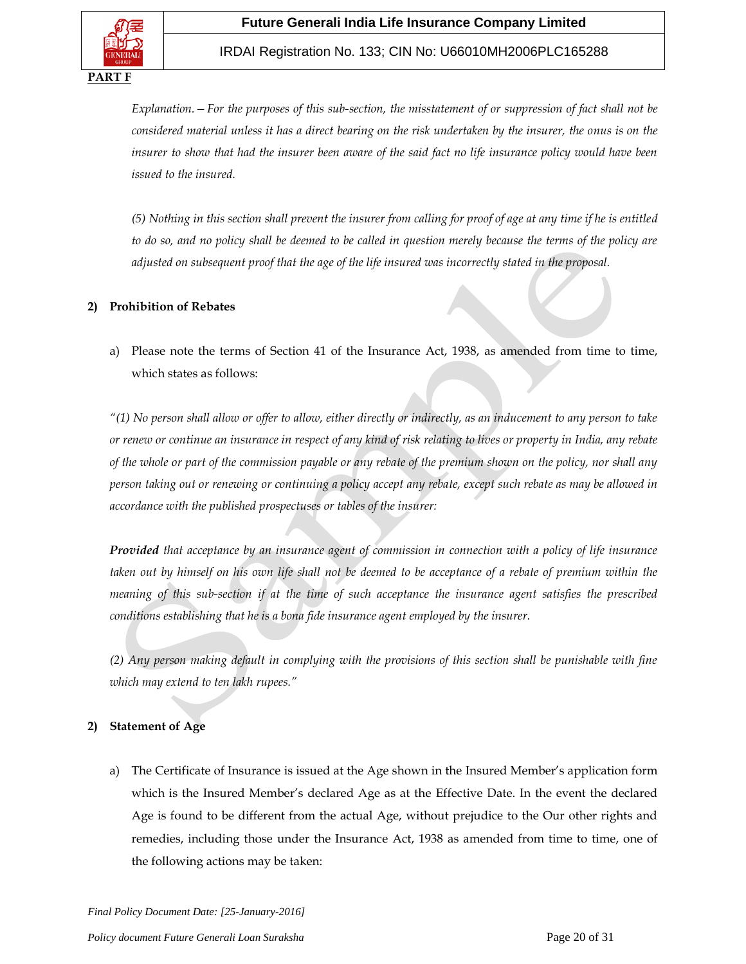## IRDAI Registration No. 133; CIN No: U66010MH2006PLC165288

*Explanation.—For the purposes of this sub-section, the misstatement of or suppression of fact shall not be considered material unless it has a direct bearing on the risk undertaken by the insurer, the onus is on the insurer to show that had the insurer been aware of the said fact no life insurance policy would have been issued to the insured.*

*(5) Nothing in this section shall prevent the insurer from calling for proof of age at any time if he is entitled to do so, and no policy shall be deemed to be called in question merely because the terms of the policy are adjusted on subsequent proof that the age of the life insured was incorrectly stated in the proposal.*

### **2) Prohibition of Rebates**

a) Please note the terms of Section 41 of the Insurance Act, 1938, as amended from time to time, which states as follows:

*"(1) No person shall allow or offer to allow, either directly or indirectly, as an inducement to any person to take or renew or continue an insurance in respect of any kind of risk relating to lives or property in India, any rebate of the whole or part of the commission payable or any rebate of the premium shown on the policy, nor shall any person taking out or renewing or continuing a policy accept any rebate, except such rebate as may be allowed in accordance with the published prospectuses or tables of the insurer:*

*Provided that acceptance by an insurance agent of commission in connection with a policy of life insurance taken out by himself on his own life shall not be deemed to be acceptance of a rebate of premium within the meaning of this sub-section if at the time of such acceptance the insurance agent satisfies the prescribed conditions establishing that he is a bona fide insurance agent employed by the insurer.*

*(2) Any person making default in complying with the provisions of this section shall be punishable with fine which may extend to ten lakh rupees."*

## **2) Statement of Age**

a) The Certificate of Insurance is issued at the Age shown in the Insured Member's application form which is the Insured Member's declared Age as at the Effective Date. In the event the declared Age is found to be different from the actual Age, without prejudice to the Our other rights and remedies, including those under the Insurance Act, 1938 as amended from time to time, one of the following actions may be taken: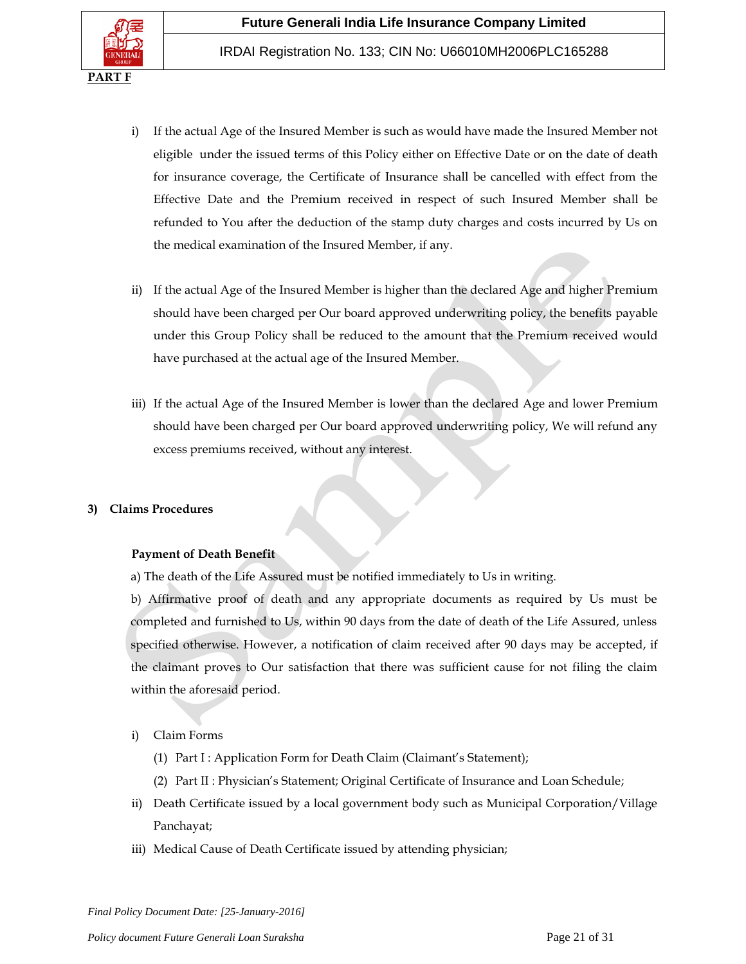

- i) If the actual Age of the Insured Member is such as would have made the Insured Member not eligible under the issued terms of this Policy either on Effective Date or on the date of death for insurance coverage, the Certificate of Insurance shall be cancelled with effect from the Effective Date and the Premium received in respect of such Insured Member shall be refunded to You after the deduction of the stamp duty charges and costs incurred by Us on the medical examination of the Insured Member, if any.
- ii) If the actual Age of the Insured Member is higher than the declared Age and higher Premium should have been charged per Our board approved underwriting policy, the benefits payable under this Group Policy shall be reduced to the amount that the Premium received would have purchased at the actual age of the Insured Member*.*
- iii) If the actual Age of the Insured Member is lower than the declared Age and lower Premium should have been charged per Our board approved underwriting policy, We will refund any excess premiums received, without any interest.

### **3) Claims Procedures**

### **Payment of Death Benefit**

a) The death of the Life Assured must be notified immediately to Us in writing.

b) Affirmative proof of death and any appropriate documents as required by Us must be completed and furnished to Us, within 90 days from the date of death of the Life Assured, unless specified otherwise. However, a notification of claim received after 90 days may be accepted, if the claimant proves to Our satisfaction that there was sufficient cause for not filing the claim within the aforesaid period.

- i) Claim Forms
	- (1) Part I : Application Form for Death Claim (Claimant's Statement);
	- (2) Part II : Physician's Statement; Original Certificate of Insurance and Loan Schedule;
- ii) Death Certificate issued by a local government body such as Municipal Corporation/Village Panchayat;
- iii) Medical Cause of Death Certificate issued by attending physician;

*Final Policy Document Date: [25-January-2016]*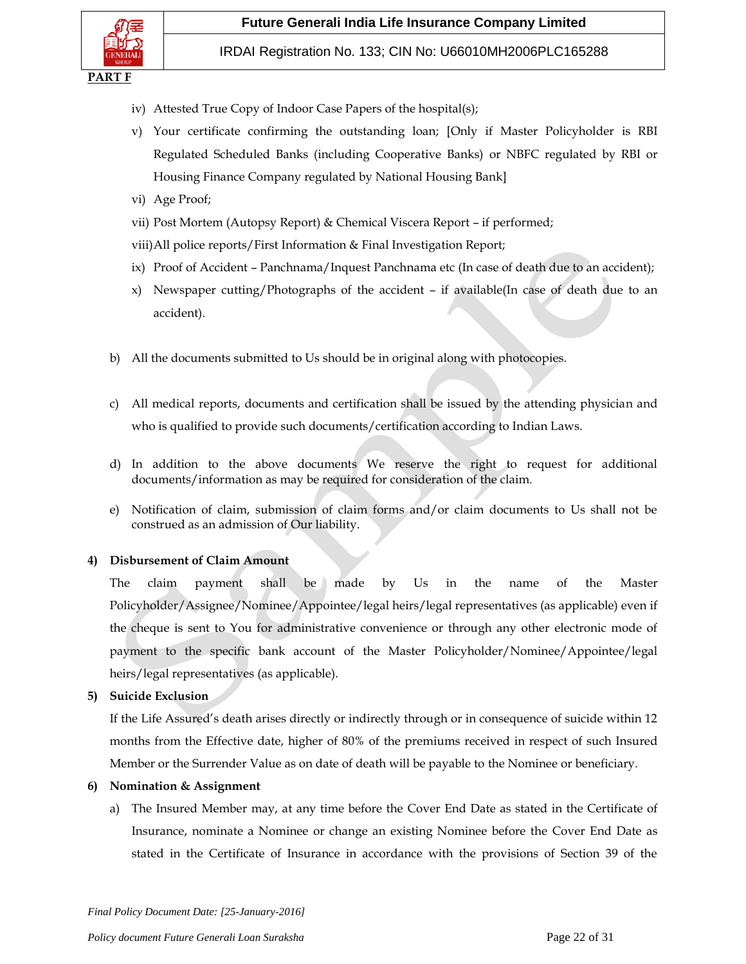

- iv) Attested True Copy of Indoor Case Papers of the hospital(s);
- v) Your certificate confirming the outstanding loan; [Only if Master Policyholder is RBI Regulated Scheduled Banks (including Cooperative Banks) or NBFC regulated by RBI or Housing Finance Company regulated by National Housing Bank]
- vi) Age Proof;
- vii) Post Mortem (Autopsy Report) & Chemical Viscera Report if performed;
- viii)All police reports/First Information & Final Investigation Report;
- ix) Proof of Accident Panchnama/Inquest Panchnama etc (In case of death due to an accident);
- x) Newspaper cutting/Photographs of the accident if available(In case of death due to an accident).
- b) All the documents submitted to Us should be in original along with photocopies.
- c) All medical reports, documents and certification shall be issued by the attending physician and who is qualified to provide such documents/certification according to Indian Laws.
- d) In addition to the above documents We reserve the right to request for additional documents/information as may be required for consideration of the claim.
- e) Notification of claim, submission of claim forms and/or claim documents to Us shall not be construed as an admission of Our liability.

### **4) Disbursement of Claim Amount**

The claim payment shall be made by Us in the name of the Master Policyholder/Assignee/Nominee/Appointee/legal heirs/legal representatives (as applicable) even if the cheque is sent to You for administrative convenience or through any other electronic mode of payment to the specific bank account of the Master Policyholder/Nominee/Appointee/legal heirs/legal representatives (as applicable).

### **5) Suicide Exclusion**

If the Life Assured's death arises directly or indirectly through or in consequence of suicide within 12 months from the Effective date, higher of 80% of the premiums received in respect of such Insured Member or the Surrender Value as on date of death will be payable to the Nominee or beneficiary.

#### **6) Nomination & Assignment**

a) The Insured Member may, at any time before the Cover End Date as stated in the Certificate of Insurance, nominate a Nominee or change an existing Nominee before the Cover End Date as stated in the Certificate of Insurance in accordance with the provisions of Section 39 of the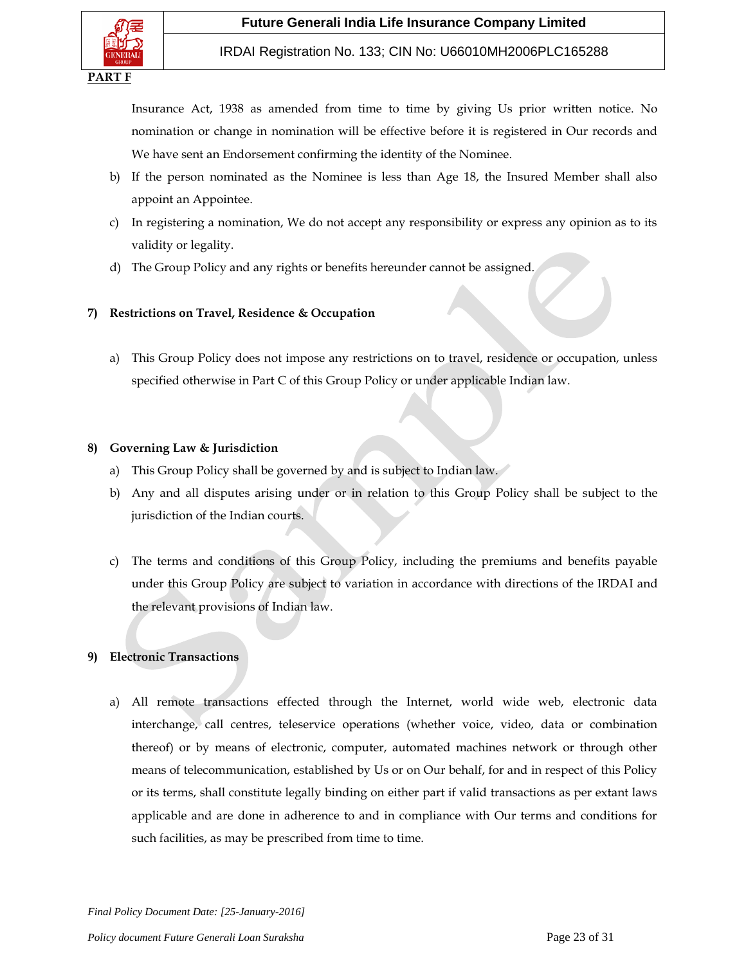

## IRDAI Registration No. 133; CIN No: U66010MH2006PLC165288

Insurance Act, 1938 as amended from time to time by giving Us prior written notice. No nomination or change in nomination will be effective before it is registered in Our records and We have sent an Endorsement confirming the identity of the Nominee.

- b) If the person nominated as the Nominee is less than Age 18, the Insured Member shall also appoint an Appointee.
- c) In registering a nomination, We do not accept any responsibility or express any opinion as to its validity or legality.
- d) The Group Policy and any rights or benefits hereunder cannot be assigned.

## **7) Restrictions on Travel, Residence & Occupation**

a) This Group Policy does not impose any restrictions on to travel, residence or occupation, unless specified otherwise in Part C of this Group Policy or under applicable Indian law.

## **8) Governing Law & Jurisdiction**

- a) This Group Policy shall be governed by and is subject to Indian law.
- b) Any and all disputes arising under or in relation to this Group Policy shall be subject to the jurisdiction of the Indian courts.
- c) The terms and conditions of this Group Policy, including the premiums and benefits payable under this Group Policy are subject to variation in accordance with directions of the IRDAI and the relevant provisions of Indian law.

# **9) Electronic Transactions**

a) All remote transactions effected through the Internet, world wide web, electronic data interchange, call centres, teleservice operations (whether voice, video, data or combination thereof) or by means of electronic, computer, automated machines network or through other means of telecommunication, established by Us or on Our behalf, for and in respect of this Policy or its terms, shall constitute legally binding on either part if valid transactions as per extant laws applicable and are done in adherence to and in compliance with Our terms and conditions for such facilities, as may be prescribed from time to time.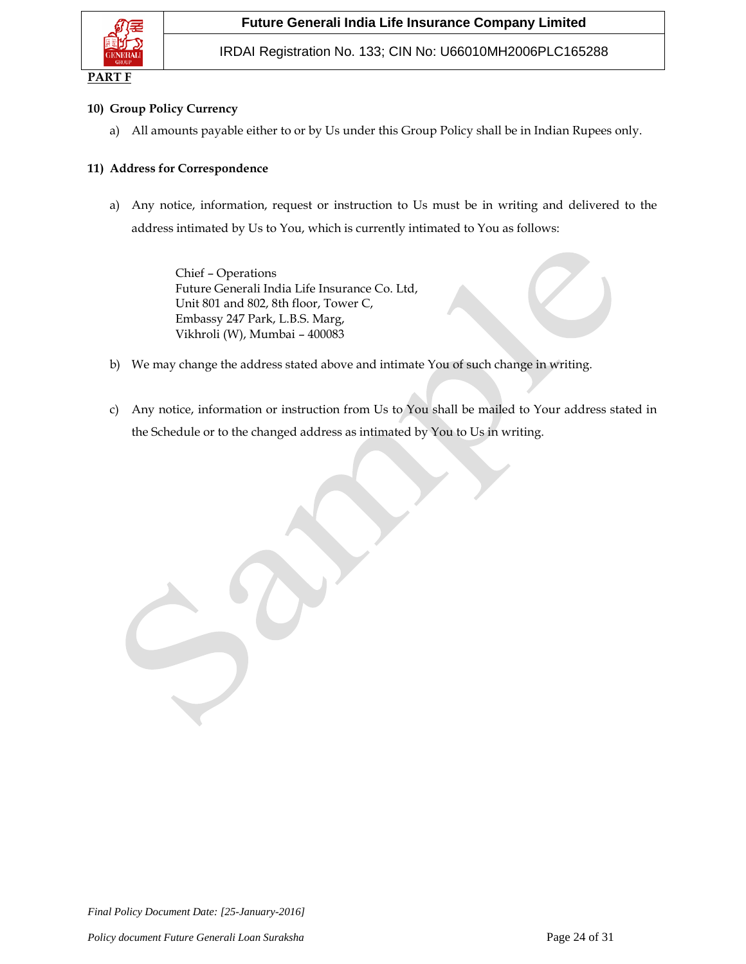

## **10) Group Policy Currency**

a) All amounts payable either to or by Us under this Group Policy shall be in Indian Rupees only.

### **11) Address for Correspondence**

a) Any notice, information, request or instruction to Us must be in writing and delivered to the address intimated by Us to You, which is currently intimated to You as follows:

> Chief – Operations Future Generali India Life Insurance Co. Ltd, Unit 801 and 802, 8th floor, Tower C, Embassy 247 Park, L.B.S. Marg, Vikhroli (W), Mumbai – 400083

- b) We may change the address stated above and intimate You of such change in writing.
- c) Any notice, information or instruction from Us to You shall be mailed to Your address stated in the Schedule or to the changed address as intimated by You to Us in writing.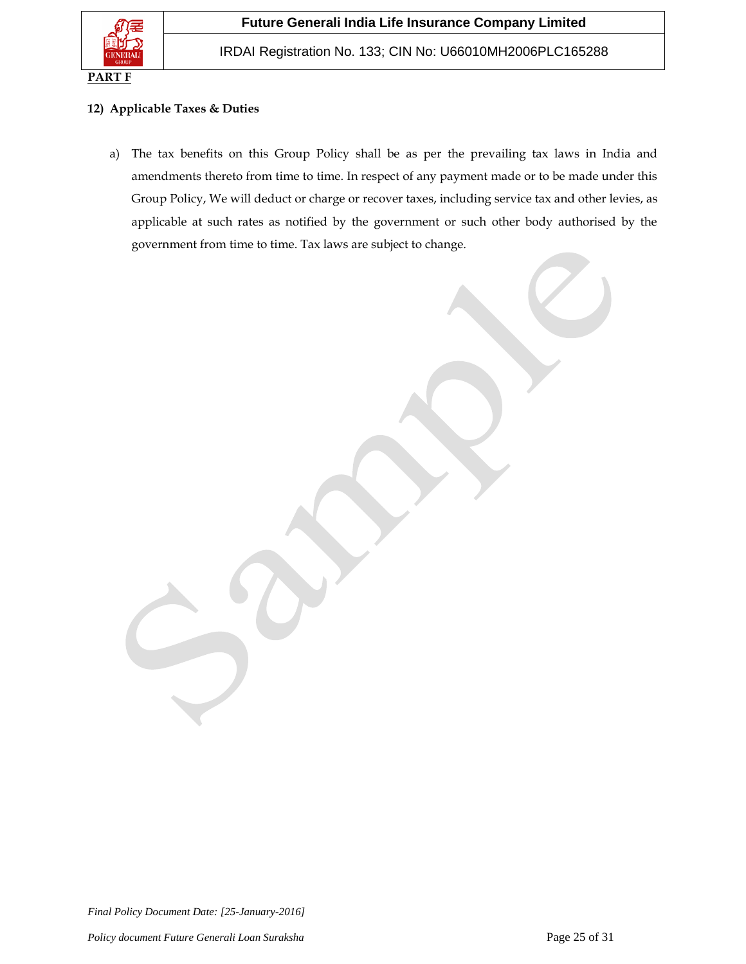

## **12) Applicable Taxes & Duties**

a) The tax benefits on this Group Policy shall be as per the prevailing tax laws in India and amendments thereto from time to time. In respect of any payment made or to be made under this Group Policy, We will deduct or charge or recover taxes, including service tax and other levies, as applicable at such rates as notified by the government or such other body authorised by the government from time to time. Tax laws are subject to change.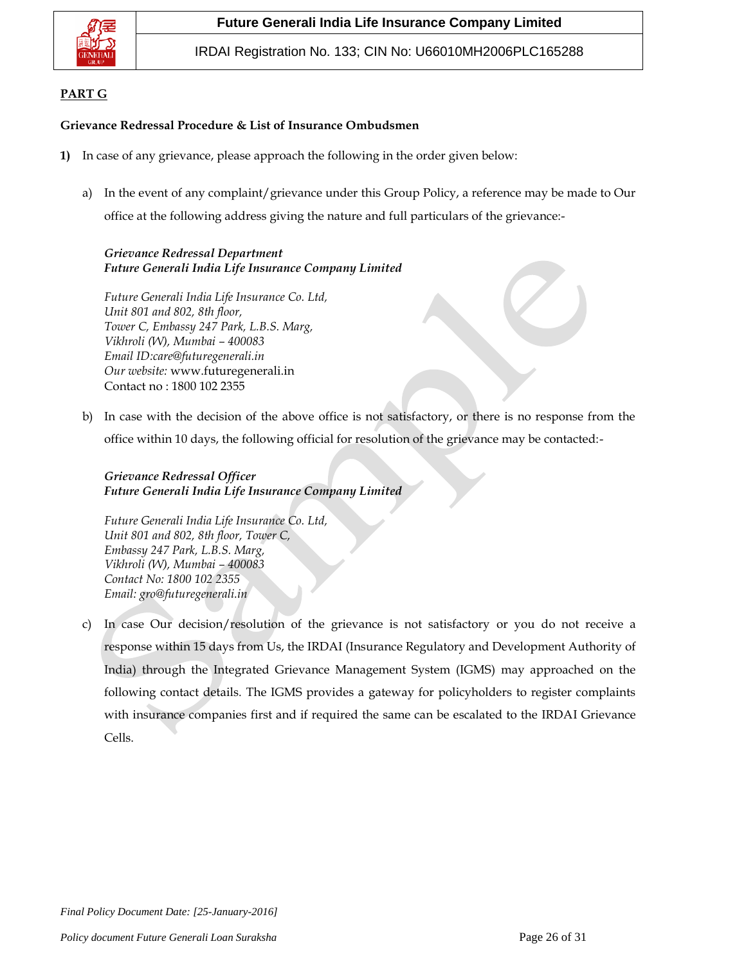

IRDAI Registration No. 133; CIN No: U66010MH2006PLC165288

# **PART G**

## **Grievance Redressal Procedure & List of Insurance Ombudsmen**

- **1)** In case of any grievance, please approach the following in the order given below:
	- a) In the event of any complaint/grievance under this Group Policy, a reference may be made to Our office at the following address giving the nature and full particulars of the grievance:-

# *Grievance Redressal Department Future Generali India Life Insurance Company Limited*

*Future Generali India Life Insurance Co. Ltd, Unit 801 and 802, 8th floor, Tower C, Embassy 247 Park, L.B.S. Marg, Vikhroli (W), Mumbai – 400083 Email ID:care@futuregenerali.in Our website:* [www.futuregenerali.in](http://www.futuregenerali.in/) Contact no : 1800 102 2355

b) In case with the decision of the above office is not satisfactory, or there is no response from the office within 10 days, the following official for resolution of the grievance may be contacted:-

# *Grievance Redressal Officer Future Generali India Life Insurance Company Limited*

*Future Generali India Life Insurance Co. Ltd, Unit 801 and 802, 8th floor, Tower C, Embassy 247 Park, L.B.S. Marg, Vikhroli (W), Mumbai – 400083 Contact No: 1800 102 2355 Email: gro@futuregenerali.in*

c) In case Our decision/resolution of the grievance is not satisfactory or you do not receive a response within 15 days from Us, the IRDAI (Insurance Regulatory and Development Authority of India) through the Integrated Grievance Management System (IGMS) may approached on the following contact details*.* The IGMS provides a gateway for policyholders to register complaints with insurance companies first and if required the same can be escalated to the IRDAI Grievance Cells.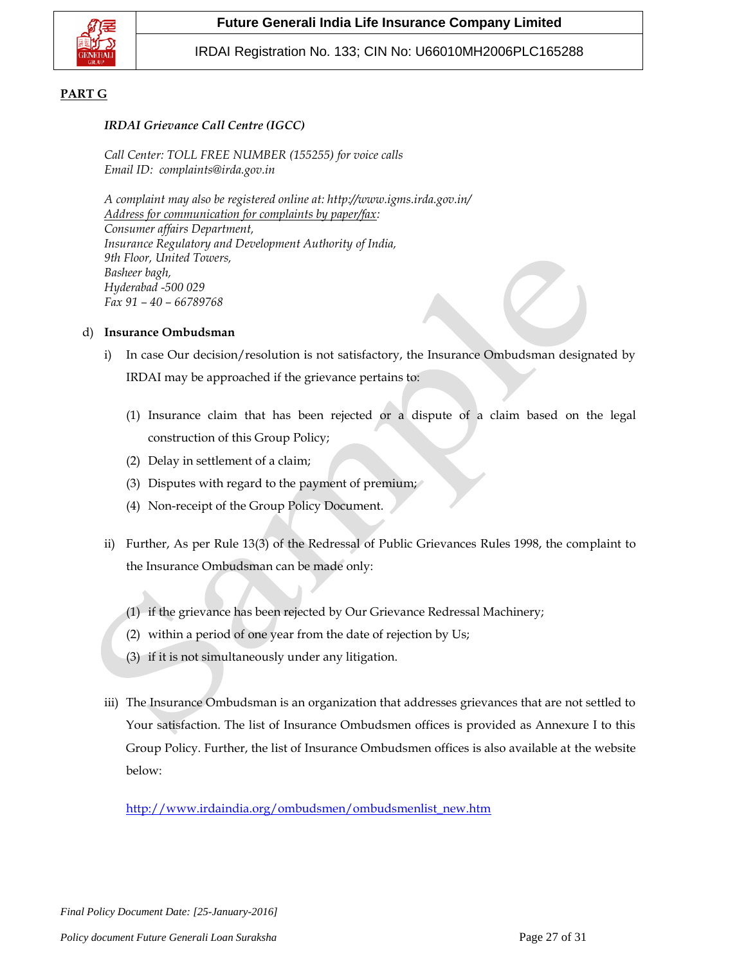

## **PART G**

## *IRDAI Grievance Call Centre (IGCC)*

*Call Center: TOLL FREE NUMBER (155255) for voice calls Email ID: complaints@irda.gov.in*

*A complaint may also be registered online at: http://www.igms.irda.gov.in/ Address for communication for complaints by paper/fax: Consumer affairs Department, Insurance Regulatory and Development Authority of India, 9th Floor, United Towers, Basheer bagh, Hyderabad -500 029 Fax 91 – 40 – 66789768*

### d) **Insurance Ombudsman**

- i) In case Our decision/resolution is not satisfactory, the Insurance Ombudsman designated by IRDAI may be approached if the grievance pertains to:
	- (1) Insurance claim that has been rejected or a dispute of a claim based on the legal construction of this Group Policy;
	- (2) Delay in settlement of a claim;
	- (3) Disputes with regard to the payment of premium;
	- (4) Non-receipt of the Group Policy Document.
- ii) Further, As per Rule 13(3) of the Redressal of Public Grievances Rules 1998, the complaint to the Insurance Ombudsman can be made only:
	- (1) if the grievance has been rejected by Our Grievance Redressal Machinery;
	- (2) within a period of one year from the date of rejection by Us;
	- (3) if it is not simultaneously under any litigation.
- iii) The Insurance Ombudsman is an organization that addresses grievances that are not settled to Your satisfaction. The list of Insurance Ombudsmen offices is provided as Annexure I to this Group Policy. Further, the list of Insurance Ombudsmen offices is also available at the website below:

[http://www.irdaindia.org/ombudsmen/ombudsmenlist\\_new.htm](http://www.irdaindia.org/ombudsmen/ombudsmenlist_new.htm)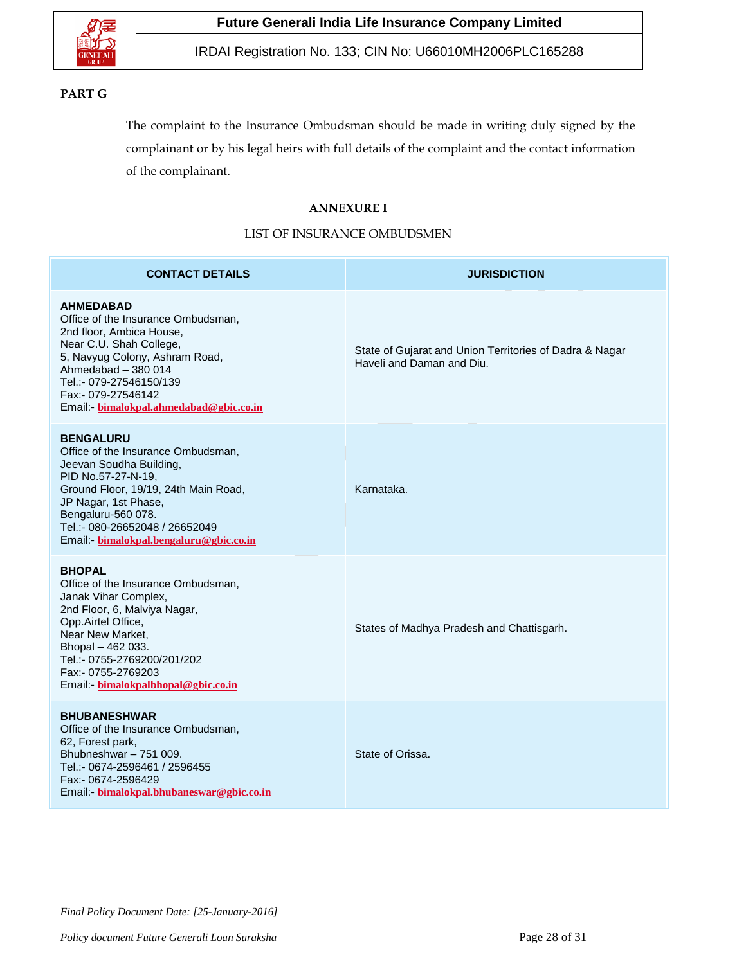

# **PART G**

The complaint to the Insurance Ombudsman should be made in writing duly signed by the complainant or by his legal heirs with full details of the complaint and the contact information of the complainant.

## **ANNEXURE I**

## LIST OF INSURANCE OMBUDSMEN

| <b>CONTACT DETAILS</b>                                                                                                                                                                                                                                                    | <b>JURISDICTION</b>                                                                  |
|---------------------------------------------------------------------------------------------------------------------------------------------------------------------------------------------------------------------------------------------------------------------------|--------------------------------------------------------------------------------------|
| <b>AHMEDABAD</b><br>Office of the Insurance Ombudsman,<br>2nd floor, Ambica House,<br>Near C.U. Shah College,<br>5, Navyug Colony, Ashram Road,<br>Ahmedabad - 380 014<br>Tel.:- 079-27546150/139<br>Fax:- 079-27546142<br>Email: bimalokpal.ahmedabad@gbic.co.in         | State of Gujarat and Union Territories of Dadra & Nagar<br>Haveli and Daman and Diu. |
| <b>BENGALURU</b><br>Office of the Insurance Ombudsman,<br>Jeevan Soudha Building,<br>PID No.57-27-N-19,<br>Ground Floor, 19/19, 24th Main Road,<br>JP Nagar, 1st Phase,<br>Bengaluru-560 078.<br>Tel.:- 080-26652048 / 26652049<br>Email: bimalokpal.bengaluru@gbic.co.in | Karnataka.                                                                           |
| <b>BHOPAL</b><br>Office of the Insurance Ombudsman,<br>Janak Vihar Complex,<br>2nd Floor, 6, Malviya Nagar,<br>Opp.Airtel Office,<br>Near New Market,<br>Bhopal - 462 033.<br>Tel.:- 0755-2769200/201/202<br>Fax:- 0755-2769203<br>Email - bimalokpalbhopal@gbic.co.in    | States of Madhya Pradesh and Chattisgarh.                                            |
| <b>BHUBANESHWAR</b><br>Office of the Insurance Ombudsman,<br>62, Forest park,<br>Bhubneshwar - 751 009.<br>Tel.:- 0674-2596461 / 2596455<br>Fax:- 0674-2596429<br>Email:- bimalokpal.bhubaneswar@gbic.co.in                                                               | State of Orissa.                                                                     |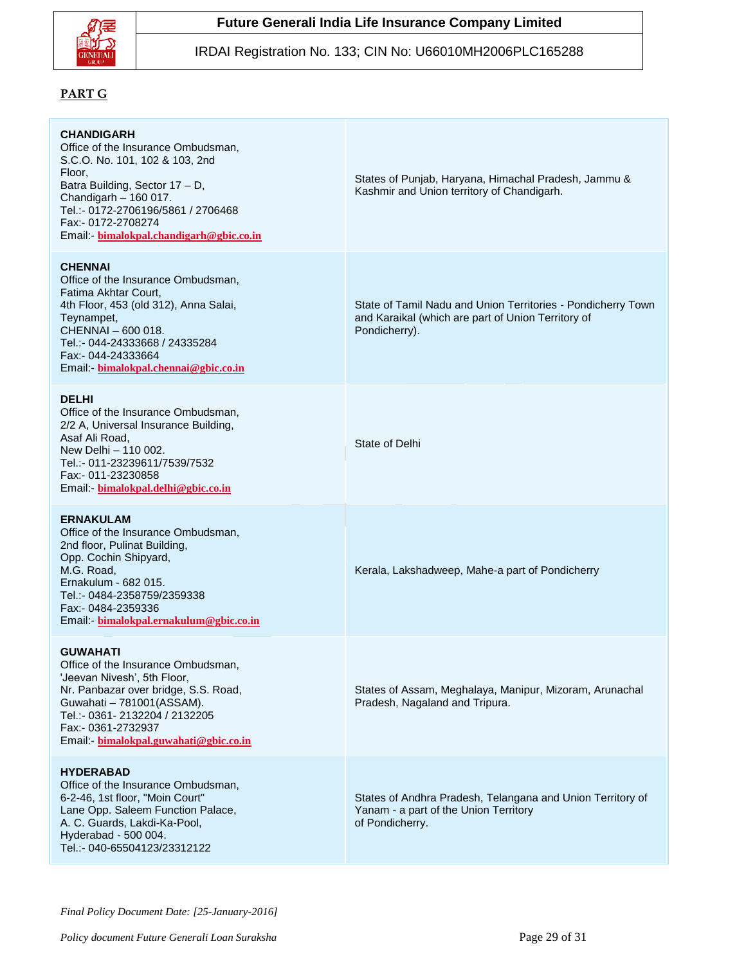

### IRDAI Registration No. 133; CIN No: U66010MH2006PLC165288

## **PART G**

#### **CHANDIGARH**

Office of the Insurance Ombudsman, S.C.O. No. 101, 102 & 103, 2nd Floor, Batra Building, Sector 17 – D, Chandigarh – 160 017. Tel.:- 0172-2706196/5861 / 2706468 Fax:- 0172-2708274 Email:- **[bimalokpal.chandigarh@gbic.co.in](mailto:ombchd@yahoo.co.in)**

#### **CHENNAI**

Office of the Insurance Ombudsman, Fatima Akhtar Court, 4th Floor, 453 (old 312), Anna Salai, Teynampet, CHENNAI – 600 018. Tel.:- 044-24333668 / 24335284 Fax:- 044-24333664 Email:- **[bimalokpal.chennai@gbic.co.in](mailto:insombud@md4.vsnl.net.in)**

#### **DELHI**

Office of the Insurance Ombudsman, 2/2 A, Universal Insurance Building, Asaf Ali Road, New Delhi – 110 002. Tel.:- 011-23239611/7539/7532 Fax:- 011-23230858 Email:- **[bimalokpal.delhi@gbic.co.in](mailto:iobdelraj@rediffmail.com)**

#### **ERNAKULAM**

Office of the Insurance Ombudsman, 2nd floor, Pulinat Building, Opp. Cochin Shipyard, M.G. Road, Ernakulum - 682 015. Tel.:- 0484-2358759/2359338 Fax:- 0484-2359336 Email:- **[bimalokpal.ernakulum@gbic.co.in](mailto:ioobbsr@dataone.in)**

#### **GUWAHATI**

Office of the Insurance Ombudsman, 'Jeevan Nivesh', 5th Floor, Nr. Panbazar over bridge, S.S. Road, Guwahati – 781001(ASSAM). Tel.:- 0361- 2132204 / 2132205 Fax:- 0361-2732937 Email:- **[bimalokpal.guwahati@gbic.co.in](mailto:ombudsmanghy@rediffmail.com)**

#### **HYDERABAD**

Office of the Insurance Ombudsman, 6-2-46, 1st floor, "Moin Court" Lane Opp. Saleem Function Palace, A. C. Guards, Lakdi-Ka-Pool, Hyderabad - 500 004. Tel.:- 040-65504123/23312122

States of Punjab, Haryana, Himachal Pradesh, Jammu & Kashmir and Union territory of Chandigarh.

State of Tamil Nadu and Union Territories - Pondicherry Town and Karaikal (which are part of Union Territory of Pondicherry).

State of Delhi

Kerala, Lakshadweep, Mahe-a part of Pondicherry

States of Assam, Meghalaya, Manipur, Mizoram, Arunachal Pradesh, Nagaland and Tripura.

States of Andhra Pradesh, Telangana and Union Territory of Yanam - a part of the Union Territory of Pondicherry.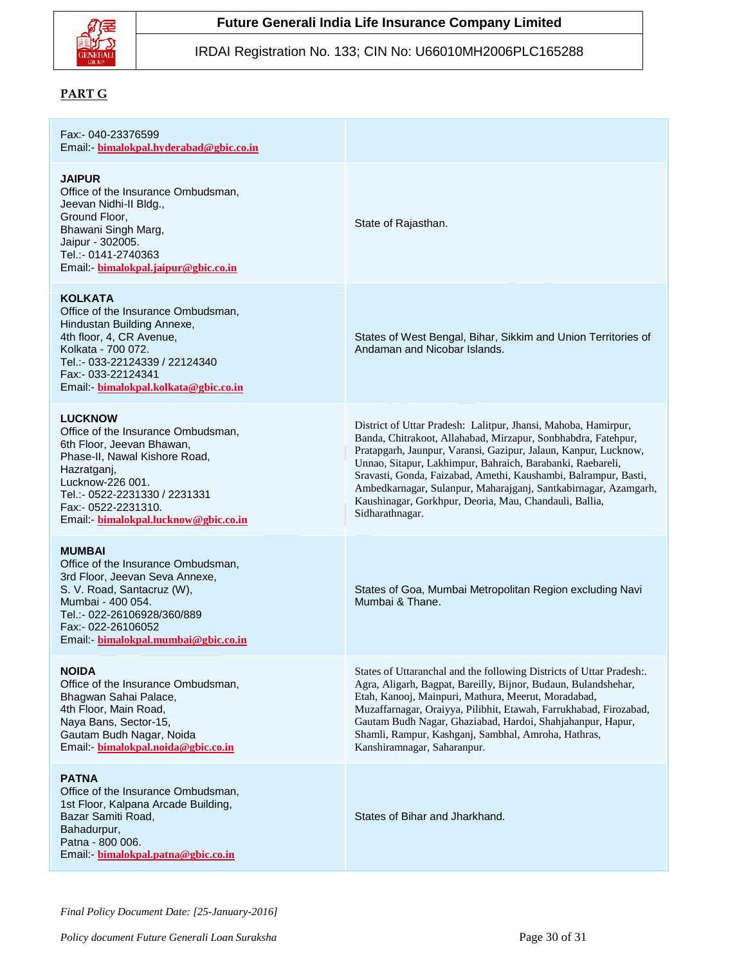

### IRDAI Registration No. 133; CIN No: U66010MH2006PLC165288

## **PART G**

#### Fax:- 040-23376599 Email:- **[bimalokpal.hyderabad@gbic.co.in](mailto:insombudhyd@gmail.com)**

#### **JAIPUR**

Office of the Insurance Ombudsman, Jeevan Nidhi-II Bldg., Ground Floor, Bhawani Singh Marg, Jaipur - 302005. Tel.:- 0141-2740363 Email:- **[bimalokpal.jaipur@gbic.co.in](mailto:iokochi@asianetindia.com)**

#### **KOLKATA**

Office of the Insurance Ombudsman, Hindustan Building Annexe, 4th floor, 4, CR Avenue, Kolkata - 700 072. Tel.:- 033-22124339 / 22124340 Fax:- 033-22124341 Email:- **[bimalokpal.kolkata@gbic.co.in](mailto:iombkol@vsnl.net)**

#### **LUCKNOW**

Office of the Insurance Ombudsman, 6th Floor, Jeevan Bhawan, Phase-II, Nawal Kishore Road, Hazratganj, Lucknow-226 001. Tel.:- 0522-2231330 / 2231331 Fax:- 0522-2231310. Email:- **[bimalokpal.lucknow@gbic.co.in](mailto:ioblko@sancharnet.in)**

#### **MUMBAI**

Office of the Insurance Ombudsman, 3rd Floor, Jeevan Seva Annexe, S. V. Road, Santacruz (W), Mumbai - 400 054. Tel.:- 022-26106928/360/889 Fax:- 022-26106052 Email:- **[bimalokpal.mumbai@gbic.co.in](mailto:ombudsman@vsnl.net)**

#### **NOIDA**

Office of the Insurance Ombudsman, Bhagwan Sahai Palace, 4th Floor, Main Road, Naya Bans, Sector-15, Gautam Budh Nagar, Noida Email:- **[bimalokpal.noida@gbic.co.in](mailto:ioblko@sancharnet.in)**

### **PATNA**

Office of the Insurance Ombudsman, 1st Floor, Kalpana Arcade Building, Bazar Samiti Road, Bahadurpur, Patna - 800 006. Email:- **[bimalokpal.patna@gbic.co.in](mailto:ombudsman@vsnl.net)**

State of Rajasthan.

States of West Bengal, Bihar, Sikkim and Union Territories of Andaman and Nicobar Islands.

District of Uttar Pradesh: Lalitpur, Jhansi, Mahoba, Hamirpur, Banda, Chitrakoot, Allahabad, Mirzapur, Sonbhabdra, Fatehpur, Pratapgarh, Jaunpur, Varansi, Gazipur, Jalaun, Kanpur, Lucknow, Unnao, Sitapur, Lakhimpur, Bahraich, Barabanki, Raebareli, Sravasti, Gonda, Faizabad, Amethi, Kaushambi, Balrampur, Basti, Ambedkarnagar, Sulanpur, Maharajganj, Santkabirnagar, Azamgarh, Kaushinagar, Gorkhpur, Deoria, Mau, Chandauli, Ballia, Sidharathnagar.

States of Goa, Mumbai Metropolitan Region excluding Navi Mumbai & Thane.

States of Uttaranchal and the following Districts of Uttar Pradesh:. Agra, Aligarh, Bagpat, Bareilly, Bijnor, Budaun, Bulandshehar, Etah, Kanooj, Mainpuri, Mathura, Meerut, Moradabad, Muzaffarnagar, Oraiyya, Pilibhit, Etawah, Farrukhabad, Firozabad, Gautam Budh Nagar, Ghaziabad, Hardoi, Shahjahanpur, Hapur, Shamli, Rampur, Kashganj, Sambhal, Amroha, Hathras, Kanshiramnagar, Saharanpur.

States of Bihar and Jharkhand.